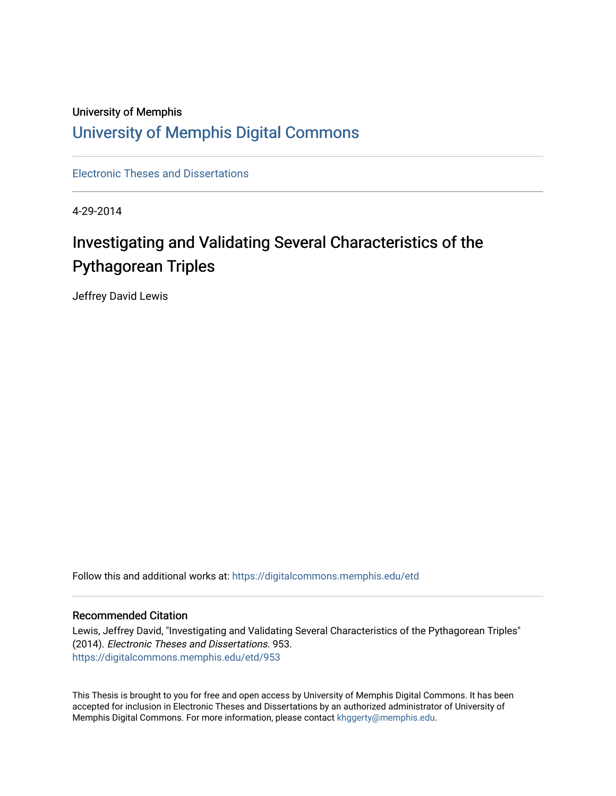## University of Memphis [University of Memphis Digital Commons](https://digitalcommons.memphis.edu/)

[Electronic Theses and Dissertations](https://digitalcommons.memphis.edu/etd)

4-29-2014

## Investigating and Validating Several Characteristics of the Pythagorean Triples

Jeffrey David Lewis

Follow this and additional works at: [https://digitalcommons.memphis.edu/etd](https://digitalcommons.memphis.edu/etd?utm_source=digitalcommons.memphis.edu%2Fetd%2F953&utm_medium=PDF&utm_campaign=PDFCoverPages) 

#### Recommended Citation

Lewis, Jeffrey David, "Investigating and Validating Several Characteristics of the Pythagorean Triples" (2014). Electronic Theses and Dissertations. 953. [https://digitalcommons.memphis.edu/etd/953](https://digitalcommons.memphis.edu/etd/953?utm_source=digitalcommons.memphis.edu%2Fetd%2F953&utm_medium=PDF&utm_campaign=PDFCoverPages) 

This Thesis is brought to you for free and open access by University of Memphis Digital Commons. It has been accepted for inclusion in Electronic Theses and Dissertations by an authorized administrator of University of Memphis Digital Commons. For more information, please contact [khggerty@memphis.edu.](mailto:khggerty@memphis.edu)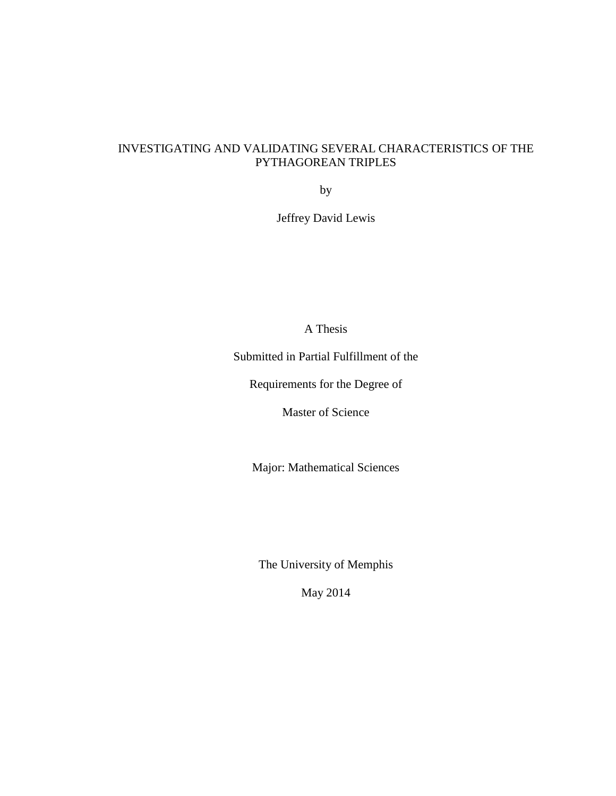## INVESTIGATING AND VALIDATING SEVERAL CHARACTERISTICS OF THE PYTHAGOREAN TRIPLES

by

Jeffrey David Lewis

A Thesis

Submitted in Partial Fulfillment of the

Requirements for the Degree of

Master of Science

Major: Mathematical Sciences

The University of Memphis

May 2014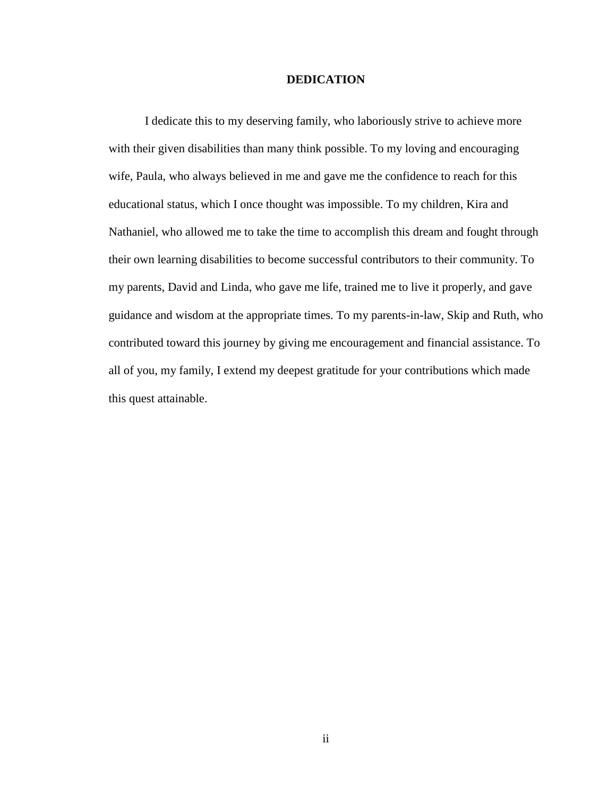#### **DEDICATION**

I dedicate this to my deserving family, who laboriously strive to achieve more with their given disabilities than many think possible. To my loving and encouraging wife, Paula, who always believed in me and gave me the confidence to reach for this educational status, which I once thought was impossible. To my children, Kira and Nathaniel, who allowed me to take the time to accomplish this dream and fought through their own learning disabilities to become successful contributors to their community. To my parents, David and Linda, who gave me life, trained me to live it properly, and gave guidance and wisdom at the appropriate times. To my parents-in-law, Skip and Ruth, who contributed toward this journey by giving me encouragement and financial assistance. To all of you, my family, I extend my deepest gratitude for your contributions which made this quest attainable.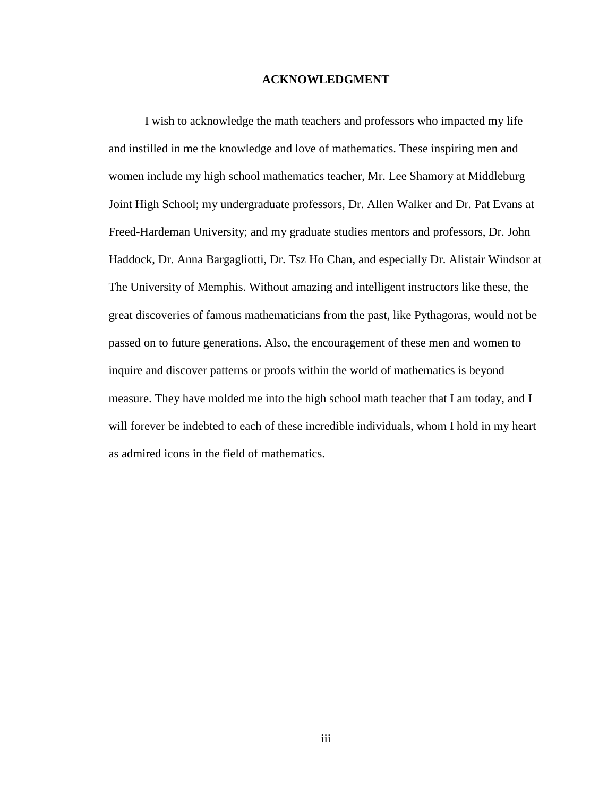#### **ACKNOWLEDGMENT**

I wish to acknowledge the math teachers and professors who impacted my life and instilled in me the knowledge and love of mathematics. These inspiring men and women include my high school mathematics teacher, Mr. Lee Shamory at Middleburg Joint High School; my undergraduate professors, Dr. Allen Walker and Dr. Pat Evans at Freed-Hardeman University; and my graduate studies mentors and professors, Dr. John Haddock, Dr. Anna Bargagliotti, Dr. Tsz Ho Chan, and especially Dr. Alistair Windsor at The University of Memphis. Without amazing and intelligent instructors like these, the great discoveries of famous mathematicians from the past, like Pythagoras, would not be passed on to future generations. Also, the encouragement of these men and women to inquire and discover patterns or proofs within the world of mathematics is beyond measure. They have molded me into the high school math teacher that I am today, and I will forever be indebted to each of these incredible individuals, whom I hold in my heart as admired icons in the field of mathematics.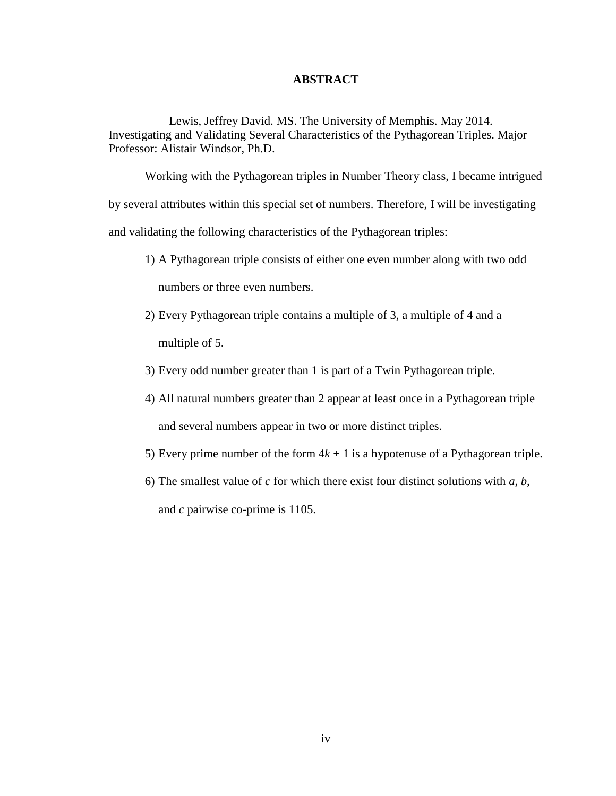#### **ABSTRACT**

Lewis, Jeffrey David. MS. The University of Memphis. May 2014. Investigating and Validating Several Characteristics of the Pythagorean Triples. Major Professor: Alistair Windsor, Ph.D.

Working with the Pythagorean triples in Number Theory class, I became intrigued by several attributes within this special set of numbers. Therefore, I will be investigating and validating the following characteristics of the Pythagorean triples:

- 1) A Pythagorean triple consists of either one even number along with two odd numbers or three even numbers.
- 2) Every Pythagorean triple contains a multiple of 3, a multiple of 4 and a multiple of 5.
- 3) Every odd number greater than 1 is part of a Twin Pythagorean triple.
- 4) All natural numbers greater than 2 appear at least once in a Pythagorean triple and several numbers appear in two or more distinct triples.
- 5) Every prime number of the form  $4k + 1$  is a hypotenuse of a Pythagorean triple.
- 6) The smallest value of *c* for which there exist four distinct solutions with *a*, *b*, and *c* pairwise co-prime is 1105.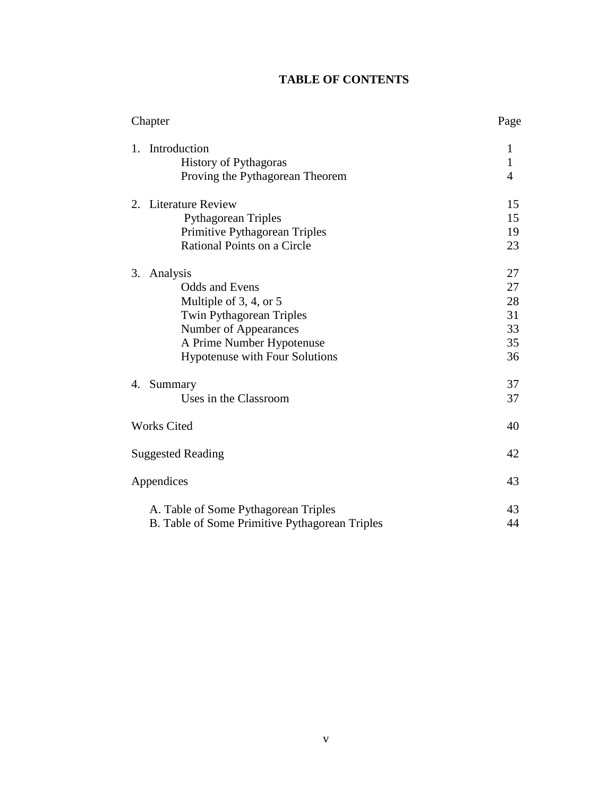## **TABLE OF CONTENTS**

| Chapter                                                                                                                                                                                      | Page                                   |
|----------------------------------------------------------------------------------------------------------------------------------------------------------------------------------------------|----------------------------------------|
| Introduction<br>1.<br><b>History of Pythagoras</b><br>Proving the Pythagorean Theorem                                                                                                        | 1<br>$\mathbf{1}$<br>$\overline{4}$    |
| 2. Literature Review<br><b>Pythagorean Triples</b><br>Primitive Pythagorean Triples<br>Rational Points on a Circle                                                                           | 15<br>15<br>19<br>23                   |
| 3.<br>Analysis<br><b>Odds and Evens</b><br>Multiple of 3, 4, or 5<br>Twin Pythagorean Triples<br>Number of Appearances<br>A Prime Number Hypotenuse<br><b>Hypotenuse with Four Solutions</b> | 27<br>27<br>28<br>31<br>33<br>35<br>36 |
| 4. Summary<br>Uses in the Classroom                                                                                                                                                          | 37<br>37                               |
| <b>Works Cited</b>                                                                                                                                                                           | 40                                     |
| <b>Suggested Reading</b>                                                                                                                                                                     | 42                                     |
| Appendices                                                                                                                                                                                   | 43                                     |
| A. Table of Some Pythagorean Triples<br>B. Table of Some Primitive Pythagorean Triples                                                                                                       | 43<br>44                               |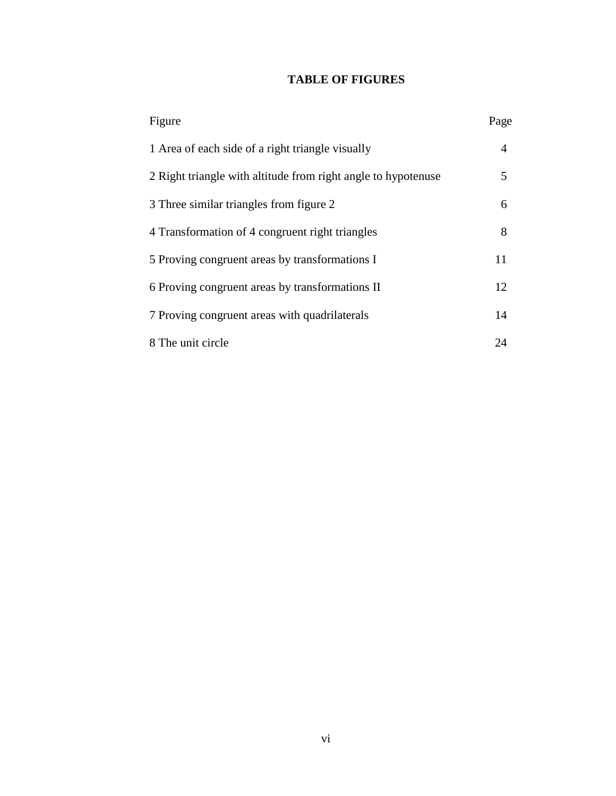## **TABLE OF FIGURES**

| Figure                                                        | Page |
|---------------------------------------------------------------|------|
| 1 Area of each side of a right triangle visually              | 4    |
| 2 Right triangle with altitude from right angle to hypotenuse | 5    |
| 3 Three similar triangles from figure 2                       | 6    |
| 4 Transformation of 4 congruent right triangles               | 8    |
| 5 Proving congruent areas by transformations I                | 11   |
| 6 Proving congruent areas by transformations II               | 12   |
| 7 Proving congruent areas with quadrilaterals                 | 14   |
| 8 The unit circle                                             | 24   |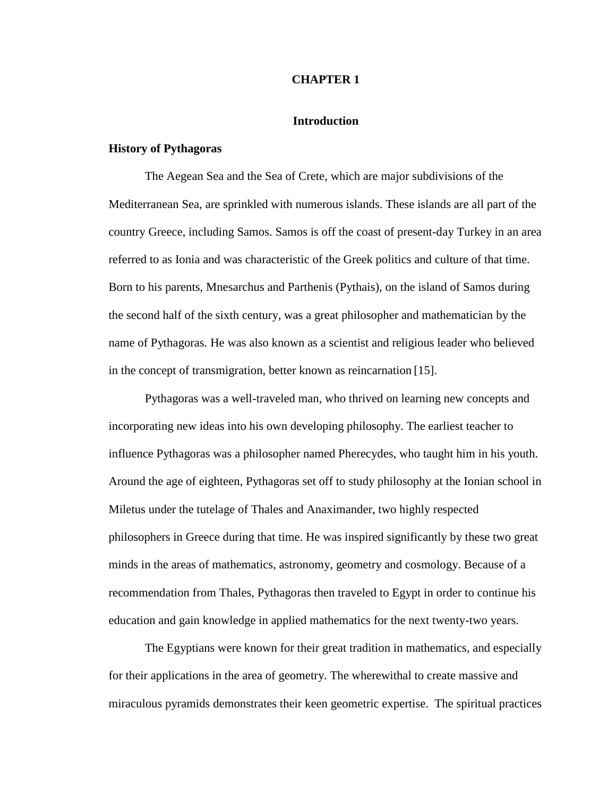#### **CHAPTER 1**

#### **Introduction**

#### **History of Pythagoras**

The Aegean Sea and the Sea of Crete, which are major subdivisions of the Mediterranean Sea, are sprinkled with numerous islands. These islands are all part of the country Greece, including Samos. Samos is off the coast of present-day Turkey in an area referred to as Ionia and was characteristic of the Greek politics and culture of that time. Born to his parents, Mnesarchus and Parthenis (Pythais), on the island of Samos during the second half of the sixth century, was a great philosopher and mathematician by the name of Pythagoras. He was also known as a scientist and religious leader who believed in the concept of transmigration, better known as reincarnation [15].

Pythagoras was a well-traveled man, who thrived on learning new concepts and incorporating new ideas into his own developing philosophy. The earliest teacher to influence Pythagoras was a philosopher named Pherecydes, who taught him in his youth. Around the age of eighteen, Pythagoras set off to study philosophy at the Ionian school in Miletus under the tutelage of Thales and Anaximander, two highly respected philosophers in Greece during that time. He was inspired significantly by these two great minds in the areas of mathematics, astronomy, geometry and cosmology. Because of a recommendation from Thales, Pythagoras then traveled to Egypt in order to continue his education and gain knowledge in applied mathematics for the next twenty-two years.

The Egyptians were known for their great tradition in mathematics, and especially for their applications in the area of geometry. The wherewithal to create massive and miraculous pyramids demonstrates their keen geometric expertise. The spiritual practices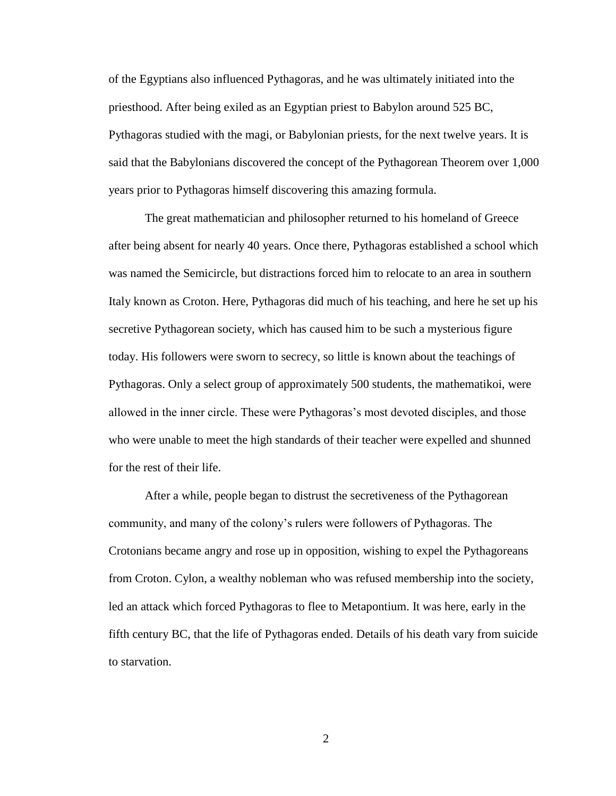of the Egyptians also influenced Pythagoras, and he was ultimately initiated into the priesthood. After being exiled as an Egyptian priest to Babylon around 525 BC, Pythagoras studied with the magi, or Babylonian priests, for the next twelve years. It is said that the Babylonians discovered the concept of the Pythagorean Theorem over 1,000 years prior to Pythagoras himself discovering this amazing formula.

The great mathematician and philosopher returned to his homeland of Greece after being absent for nearly 40 years. Once there, Pythagoras established a school which was named the Semicircle, but distractions forced him to relocate to an area in southern Italy known as Croton. Here, Pythagoras did much of his teaching, and here he set up his secretive Pythagorean society, which has caused him to be such a mysterious figure today. His followers were sworn to secrecy, so little is known about the teachings of Pythagoras. Only a select group of approximately 500 students, the mathematikoi, were allowed in the inner circle. These were Pythagoras's most devoted disciples, and those who were unable to meet the high standards of their teacher were expelled and shunned for the rest of their life.

After a while, people began to distrust the secretiveness of the Pythagorean community, and many of the colony's rulers were followers of Pythagoras. The Crotonians became angry and rose up in opposition, wishing to expel the Pythagoreans from Croton. Cylon, a wealthy nobleman who was refused membership into the society, led an attack which forced Pythagoras to flee to Metapontium. It was here, early in the fifth century BC, that the life of Pythagoras ended. Details of his death vary from suicide to starvation.

 $\mathcal{L}$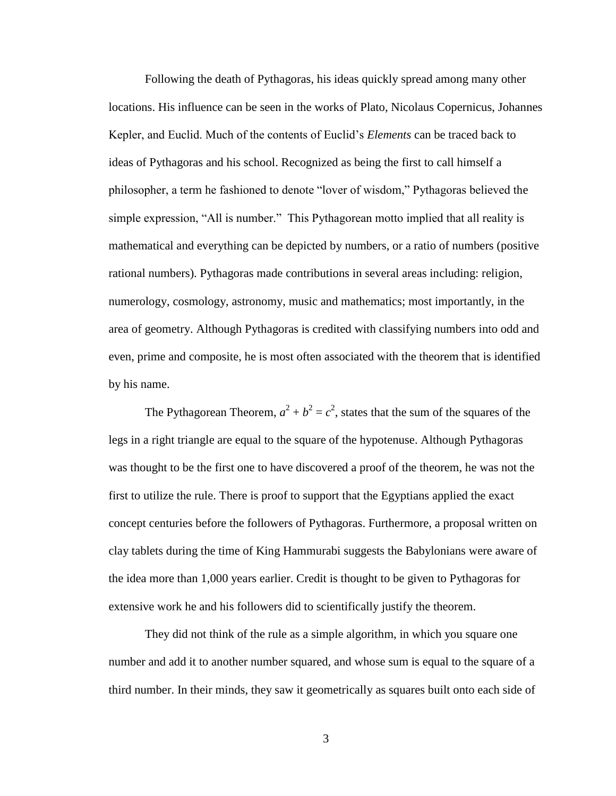Following the death of Pythagoras, his ideas quickly spread among many other locations. His influence can be seen in the works of Plato, Nicolaus Copernicus, Johannes Kepler, and Euclid. Much of the contents of Euclid's *Elements* can be traced back to ideas of Pythagoras and his school. Recognized as being the first to call himself a philosopher, a term he fashioned to denote "lover of wisdom," Pythagoras believed the simple expression, "All is number." This Pythagorean motto implied that all reality is mathematical and everything can be depicted by numbers, or a ratio of numbers (positive rational numbers). Pythagoras made contributions in several areas including: religion, numerology, cosmology, astronomy, music and mathematics; most importantly, in the area of geometry. Although Pythagoras is credited with classifying numbers into odd and even, prime and composite, he is most often associated with the theorem that is identified by his name.

The Pythagorean Theorem,  $a^2 + b^2 = c^2$ , states that the sum of the squares of the legs in a right triangle are equal to the square of the hypotenuse. Although Pythagoras was thought to be the first one to have discovered a proof of the theorem, he was not the first to utilize the rule. There is proof to support that the Egyptians applied the exact concept centuries before the followers of Pythagoras. Furthermore, a proposal written on clay tablets during the time of King Hammurabi suggests the Babylonians were aware of the idea more than 1,000 years earlier. Credit is thought to be given to Pythagoras for extensive work he and his followers did to scientifically justify the theorem.

They did not think of the rule as a simple algorithm, in which you square one number and add it to another number squared, and whose sum is equal to the square of a third number. In their minds, they saw it geometrically as squares built onto each side of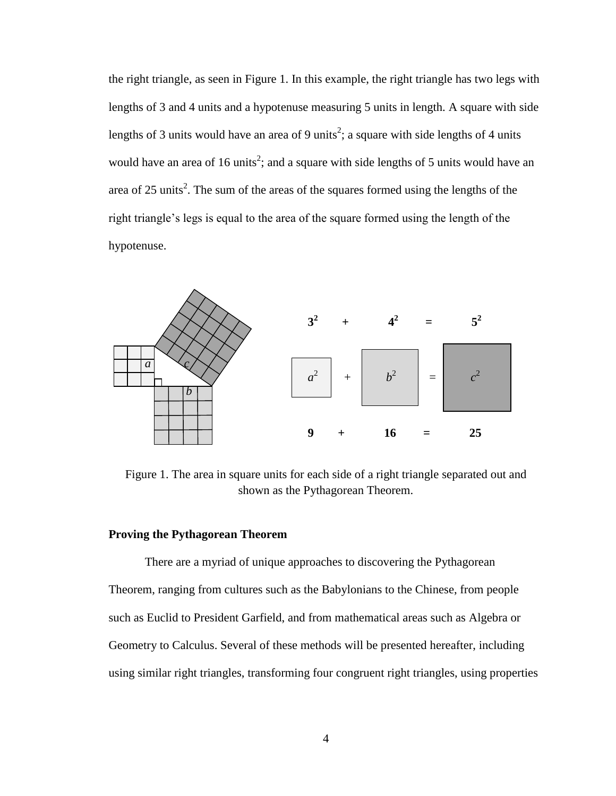the right triangle, as seen in Figure 1. In this example, the right triangle has two legs with lengths of 3 and 4 units and a hypotenuse measuring 5 units in length. A square with side lengths of 3 units would have an area of 9 units<sup>2</sup>; a square with side lengths of 4 units would have an area of 16 units<sup>2</sup>; and a square with side lengths of 5 units would have an area of 25 units<sup>2</sup>. The sum of the areas of the squares formed using the lengths of the right triangle's legs is equal to the area of the square formed using the length of the hypotenuse.



Figure 1. The area in square units for each side of a right triangle separated out and shown as the Pythagorean Theorem.

#### **Proving the Pythagorean Theorem**

There are a myriad of unique approaches to discovering the Pythagorean Theorem, ranging from cultures such as the Babylonians to the Chinese, from people such as Euclid to President Garfield, and from mathematical areas such as Algebra or Geometry to Calculus. Several of these methods will be presented hereafter, including using similar right triangles, transforming four congruent right triangles, using properties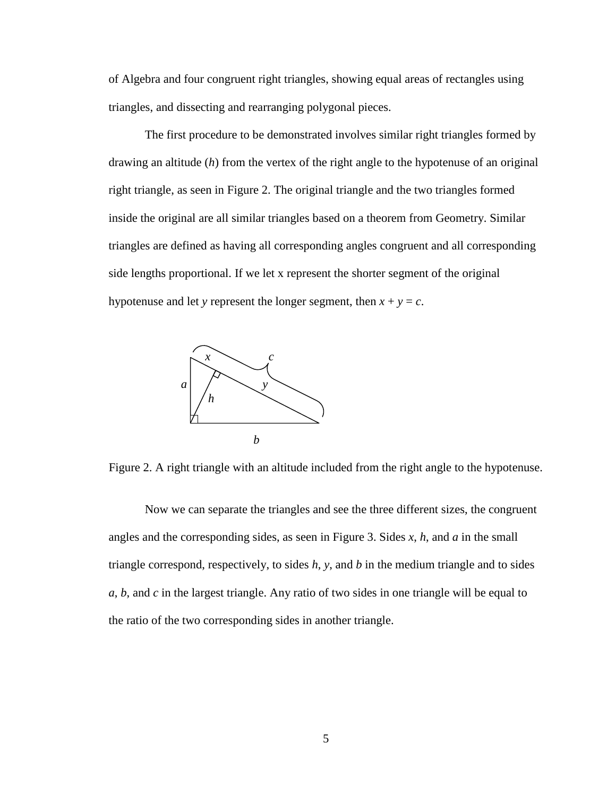of Algebra and four congruent right triangles, showing equal areas of rectangles using triangles, and dissecting and rearranging polygonal pieces.

The first procedure to be demonstrated involves similar right triangles formed by drawing an altitude (*h*) from the vertex of the right angle to the hypotenuse of an original right triangle, as seen in Figure 2. The original triangle and the two triangles formed inside the original are all similar triangles based on a theorem from Geometry. Similar triangles are defined as having all corresponding angles congruent and all corresponding side lengths proportional. If we let x represent the shorter segment of the original hypotenuse and let *y* represent the longer segment, then  $x + y = c$ .



Figure 2. A right triangle with an altitude included from the right angle to the hypotenuse.

Now we can separate the triangles and see the three different sizes, the congruent angles and the corresponding sides, as seen in Figure 3. Sides *x*, *h*, and *a* in the small triangle correspond, respectively, to sides *h*, *y*, and *b* in the medium triangle and to sides *a*, *b*, and *c* in the largest triangle. Any ratio of two sides in one triangle will be equal to the ratio of the two corresponding sides in another triangle.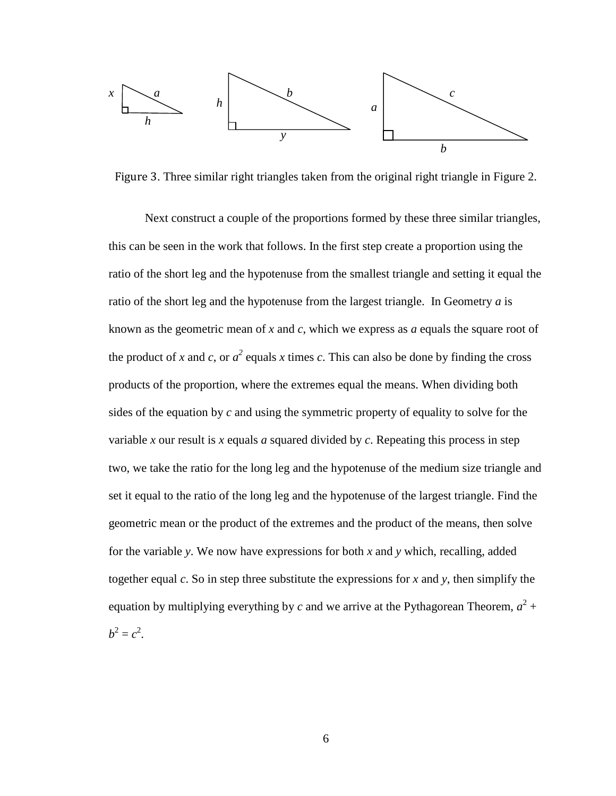

. Three similar right triangles taken from the original right triangle in Figure 2.

Next construct a couple of the proportions formed by these three similar triangles, this can be seen in the work that follows. In the first step create a proportion using the ratio of the short leg and the hypotenuse from the smallest triangle and setting it equal the ratio of the short leg and the hypotenuse from the largest triangle. In Geometry *a* is known as the geometric mean of *x* and *c*, which we express as *a* equals the square root of the product of *x* and *c*, or  $a^2$  equals *x* times *c*. This can also be done by finding the cross products of the proportion, where the extremes equal the means. When dividing both sides of the equation by *c* and using the symmetric property of equality to solve for the variable *x* our result is *x* equals *a* squared divided by *c*. Repeating this process in step two, we take the ratio for the long leg and the hypotenuse of the medium size triangle and set it equal to the ratio of the long leg and the hypotenuse of the largest triangle. Find the geometric mean or the product of the extremes and the product of the means, then solve for the variable *y*. We now have expressions for both *x* and *y* which, recalling, added together equal *c*. So in step three substitute the expressions for *x* and *y*, then simplify the equation by multiplying everything by *c* and we arrive at the Pythagorean Theorem,  $a^2 +$  $b^2 = c^2$ .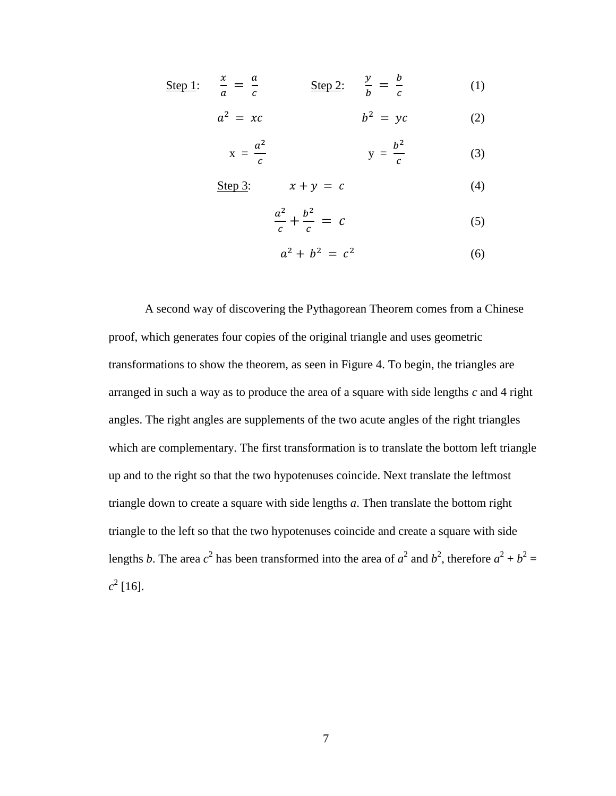Step 1: 
$$
\frac{x}{a} = \frac{a}{c}
$$
 Step 2:  $\frac{y}{b} = \frac{b}{c}$  (1)

$$
a^2 = xc \qquad \qquad b^2 = yc \qquad \qquad (2)
$$

$$
x = \frac{a^2}{c} \qquad \qquad y = \frac{b^2}{c} \qquad \qquad (3)
$$

Step 3:  $x + y = c$  (4)

$$
\frac{a^2}{c} + \frac{b^2}{c} = c \tag{5}
$$

$$
a^2 + b^2 = c^2 \tag{6}
$$

A second way of discovering the Pythagorean Theorem comes from a Chinese proof, which generates four copies of the original triangle and uses geometric transformations to show the theorem, as seen in Figure 4. To begin, the triangles are arranged in such a way as to produce the area of a square with side lengths *c* and 4 right angles. The right angles are supplements of the two acute angles of the right triangles which are complementary. The first transformation is to translate the bottom left triangle up and to the right so that the two hypotenuses coincide. Next translate the leftmost triangle down to create a square with side lengths *a*. Then translate the bottom right triangle to the left so that the two hypotenuses coincide and create a square with side lengths *b*. The area  $c^2$  has been transformed into the area of  $a^2$  and  $b^2$ , therefore  $a^2 + b^2 =$  $c^2$  [16].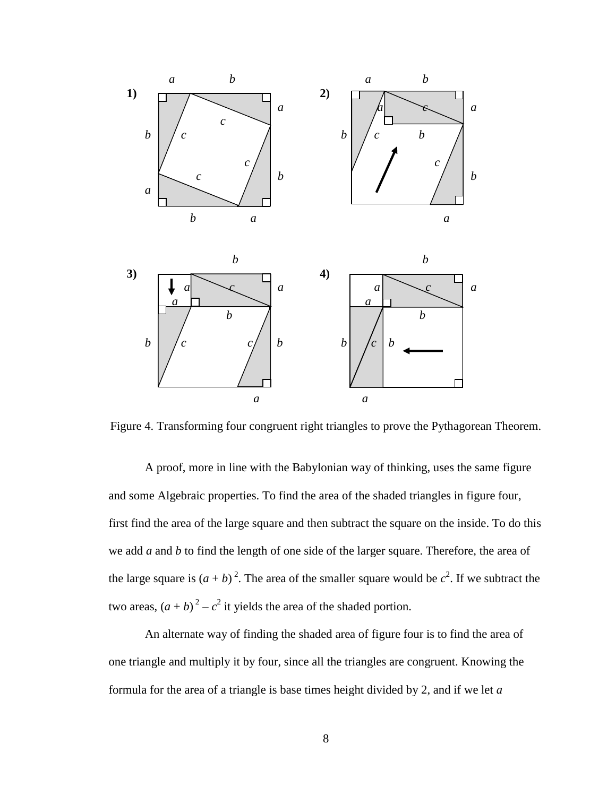

Figure 4. Transforming four congruent right triangles to prove the Pythagorean Theorem.

A proof, more in line with the Babylonian way of thinking, uses the same figure and some Algebraic properties. To find the area of the shaded triangles in figure four, first find the area of the large square and then subtract the square on the inside. To do this we add *a* and *b* to find the length of one side of the larger square. Therefore, the area of the large square is  $(a + b)^2$ . The area of the smaller square would be  $c^2$ . If we subtract the two areas,  $(a + b)^2 - c^2$  it yields the area of the shaded portion.

An alternate way of finding the shaded area of figure four is to find the area of one triangle and multiply it by four, since all the triangles are congruent. Knowing the formula for the area of a triangle is base times height divided by 2, and if we let *a*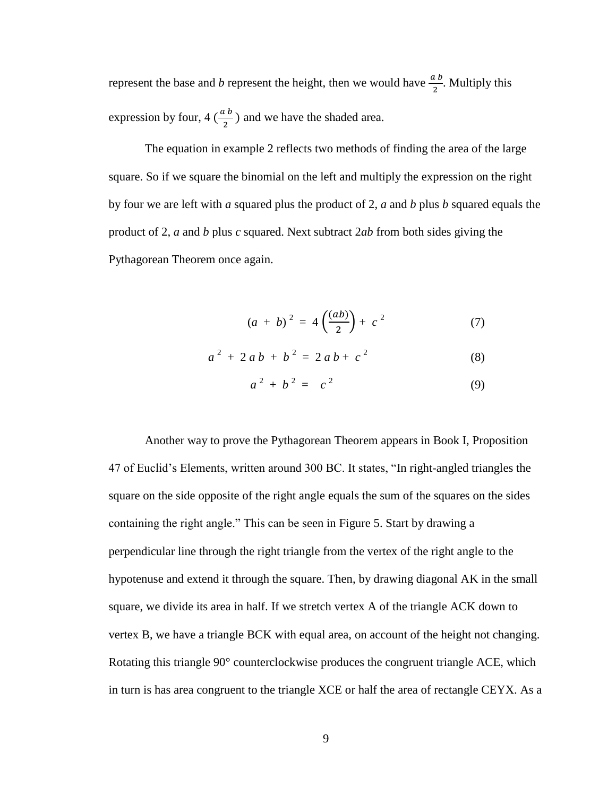represent the base and *b* represent the height, then we would have  $\frac{a b}{2}$ . Multiply this expression by four, 4  $\left(\frac{a}{b}\right)$  $\frac{1}{2}$ ) and we have the shaded area.

The equation in example 2 reflects two methods of finding the area of the large square. So if we square the binomial on the left and multiply the expression on the right by four we are left with *a* squared plus the product of 2, *a* and *b* plus *b* squared equals the product of 2, *a* and *b* plus *c* squared. Next subtract 2*ab* from both sides giving the Pythagorean Theorem once again.

$$
(a + b)^2 = 4\left(\frac{(ab)}{2}\right) + c^2 \tag{7}
$$

$$
a^2 + 2ab + b^2 = 2ab + c^2 \tag{8}
$$

$$
a^2 + b^2 = c^2 \tag{9}
$$

Another way to prove the Pythagorean Theorem appears in Book I, Proposition 47 of Euclid's Elements, written around 300 BC. It states, "In right-angled triangles the square on the side opposite of the right angle equals the sum of the squares on the sides containing the right angle." This can be seen in Figure 5. Start by drawing a perpendicular line through the right triangle from the vertex of the right angle to the hypotenuse and extend it through the square. Then, by drawing diagonal AK in the small square, we divide its area in half. If we stretch vertex A of the triangle ACK down to vertex B, we have a triangle BCK with equal area, on account of the height not changing. Rotating this triangle 90° counterclockwise produces the congruent triangle ACE, which in turn is has area congruent to the triangle XCE or half the area of rectangle CEYX. As a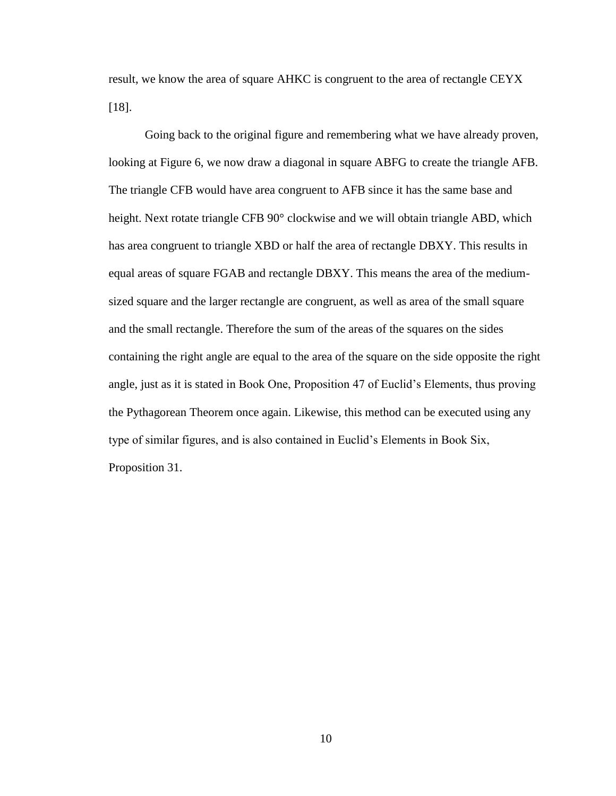result, we know the area of square AHKC is congruent to the area of rectangle CEYX [18].

Going back to the original figure and remembering what we have already proven, looking at Figure 6, we now draw a diagonal in square ABFG to create the triangle AFB. The triangle CFB would have area congruent to AFB since it has the same base and height. Next rotate triangle CFB 90° clockwise and we will obtain triangle ABD, which has area congruent to triangle XBD or half the area of rectangle DBXY. This results in equal areas of square FGAB and rectangle DBXY. This means the area of the mediumsized square and the larger rectangle are congruent, as well as area of the small square and the small rectangle. Therefore the sum of the areas of the squares on the sides containing the right angle are equal to the area of the square on the side opposite the right angle, just as it is stated in Book One, Proposition 47 of Euclid's Elements, thus proving the Pythagorean Theorem once again. Likewise, this method can be executed using any type of similar figures, and is also contained in Euclid's Elements in Book Six, Proposition 31.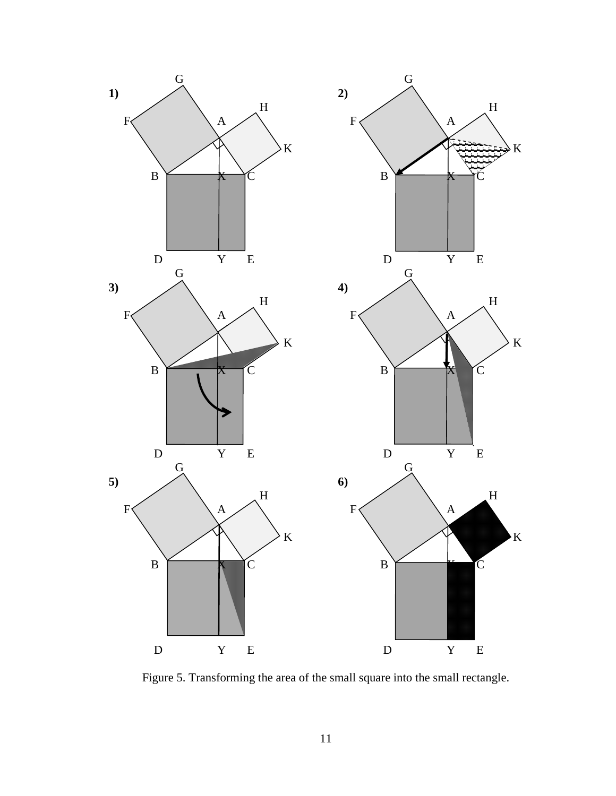

Figure 5. Transforming the area of the small square into the small rectangle.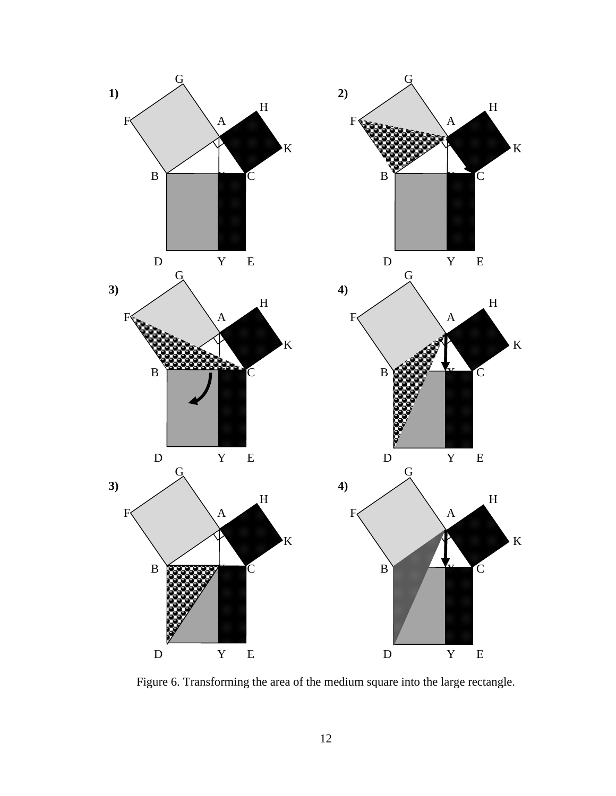

Figure 6. Transforming the area of the medium square into the large rectangle.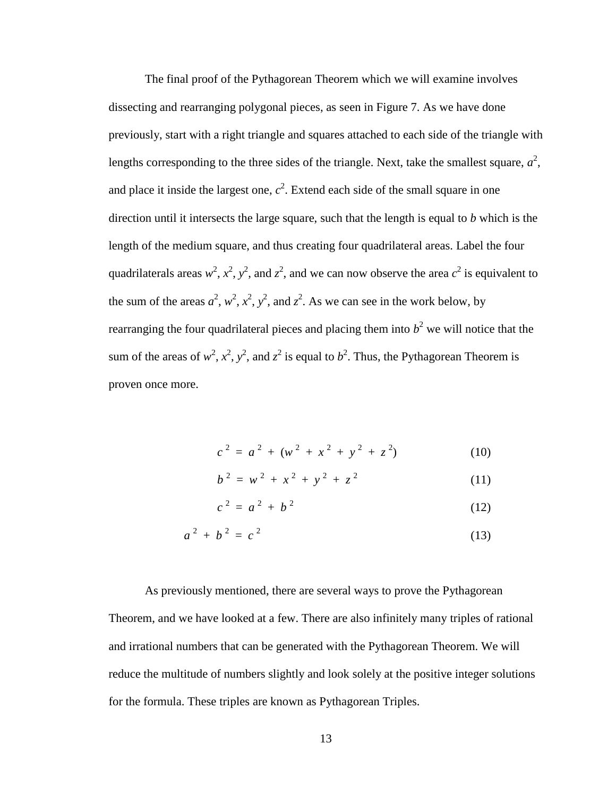The final proof of the Pythagorean Theorem which we will examine involves dissecting and rearranging polygonal pieces, as seen in Figure 7. As we have done previously, start with a right triangle and squares attached to each side of the triangle with lengths corresponding to the three sides of the triangle. Next, take the smallest square,  $a^2$ , and place it inside the largest one,  $c^2$ . Extend each side of the small square in one direction until it intersects the large square, such that the length is equal to *b* which is the length of the medium square, and thus creating four quadrilateral areas. Label the four quadrilaterals areas  $w^2$ ,  $x^2$ ,  $y^2$ , and  $z^2$ , and we can now observe the area  $c^2$  is equivalent to the sum of the areas  $a^2$ ,  $w^2$ ,  $x^2$ ,  $y^2$ , and  $z^2$ . As we can see in the work below, by rearranging the four quadrilateral pieces and placing them into  $b<sup>2</sup>$  we will notice that the sum of the areas of  $w^2$ ,  $x^2$ ,  $y^2$ , and  $z^2$  is equal to  $b^2$ . Thus, the Pythagorean Theorem is proven once more.

$$
c2 = a2 + (w2 + x2 + y2 + z2)
$$
 (10)

$$
b^2 = w^2 + x^2 + y^2 + z^2 \tag{11}
$$

$$
c^2 = a^2 + b^2 \tag{12}
$$

$$
a^2 + b^2 = c^2 \tag{13}
$$

As previously mentioned, there are several ways to prove the Pythagorean Theorem, and we have looked at a few. There are also infinitely many triples of rational and irrational numbers that can be generated with the Pythagorean Theorem. We will reduce the multitude of numbers slightly and look solely at the positive integer solutions for the formula. These triples are known as Pythagorean Triples.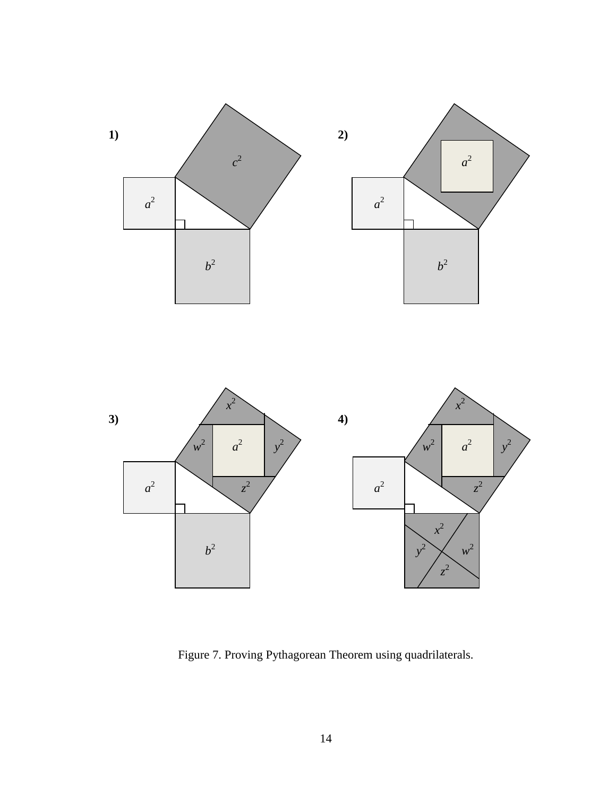



Figure 7. Proving Pythagorean Theorem using quadrilaterals.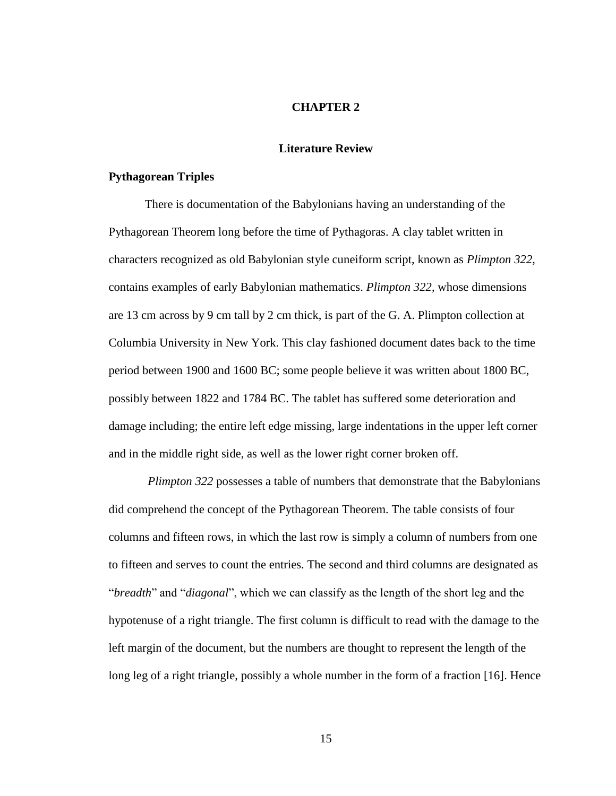#### **CHAPTER 2**

#### **Literature Review**

### **Pythagorean Triples**

There is documentation of the Babylonians having an understanding of the Pythagorean Theorem long before the time of Pythagoras. A clay tablet written in characters recognized as old Babylonian style cuneiform script, known as *Plimpton 322*, contains examples of early Babylonian mathematics. *Plimpton 322*, whose dimensions are 13 cm across by 9 cm tall by 2 cm thick, is part of the G. A. Plimpton collection at Columbia University in New York. This clay fashioned document dates back to the time period between 1900 and 1600 BC; some people believe it was written about 1800 BC, possibly between 1822 and 1784 BC. The tablet has suffered some deterioration and damage including; the entire left edge missing, large indentations in the upper left corner and in the middle right side, as well as the lower right corner broken off.

*Plimpton 322* possesses a table of numbers that demonstrate that the Babylonians did comprehend the concept of the Pythagorean Theorem. The table consists of four columns and fifteen rows, in which the last row is simply a column of numbers from one to fifteen and serves to count the entries. The second and third columns are designated as "*breadth*" and "*diagonal*", which we can classify as the length of the short leg and the hypotenuse of a right triangle. The first column is difficult to read with the damage to the left margin of the document, but the numbers are thought to represent the length of the long leg of a right triangle, possibly a whole number in the form of a fraction [16]. Hence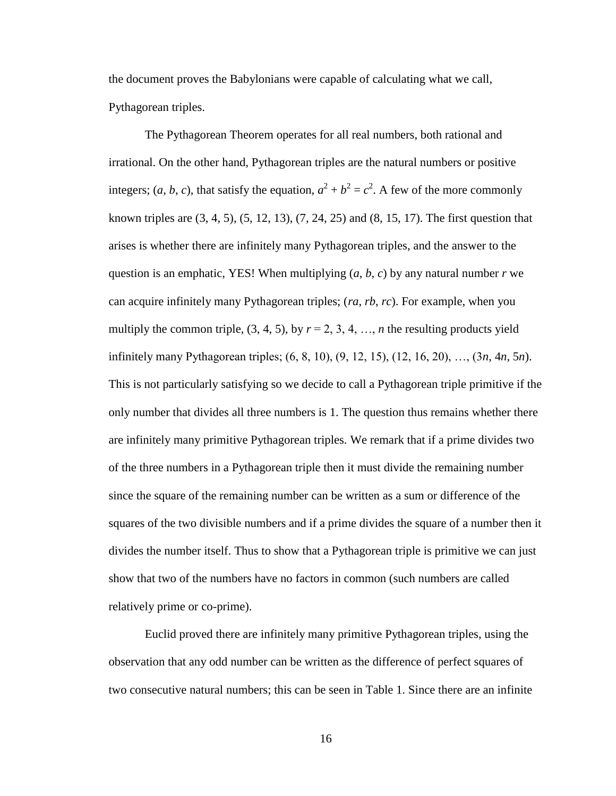the document proves the Babylonians were capable of calculating what we call, Pythagorean triples.

The Pythagorean Theorem operates for all real numbers, both rational and irrational. On the other hand, Pythagorean triples are the natural numbers or positive integers; (*a*, *b*, *c*), that satisfy the equation,  $a^2 + b^2 = c^2$ . A few of the more commonly known triples are (3, 4, 5), (5, 12, 13), (7, 24, 25) and (8, 15, 17). The first question that arises is whether there are infinitely many Pythagorean triples, and the answer to the question is an emphatic, YES! When multiplying  $(a, b, c)$  by any natural number  $r$  we can acquire infinitely many Pythagorean triples; (*ra*, *rb*, *rc*). For example, when you multiply the common triple,  $(3, 4, 5)$ , by  $r = 2, 3, 4, ..., n$  the resulting products yield infinitely many Pythagorean triples; (6, 8, 10), (9, 12, 15), (12, 16, 20), …, (3*n*, 4*n*, 5*n*). This is not particularly satisfying so we decide to call a Pythagorean triple primitive if the only number that divides all three numbers is 1. The question thus remains whether there are infinitely many primitive Pythagorean triples. We remark that if a prime divides two of the three numbers in a Pythagorean triple then it must divide the remaining number since the square of the remaining number can be written as a sum or difference of the squares of the two divisible numbers and if a prime divides the square of a number then it divides the number itself. Thus to show that a Pythagorean triple is primitive we can just show that two of the numbers have no factors in common (such numbers are called relatively prime or co-prime).

Euclid proved there are infinitely many primitive Pythagorean triples, using the observation that any odd number can be written as the difference of perfect squares of two consecutive natural numbers; this can be seen in Table 1. Since there are an infinite

16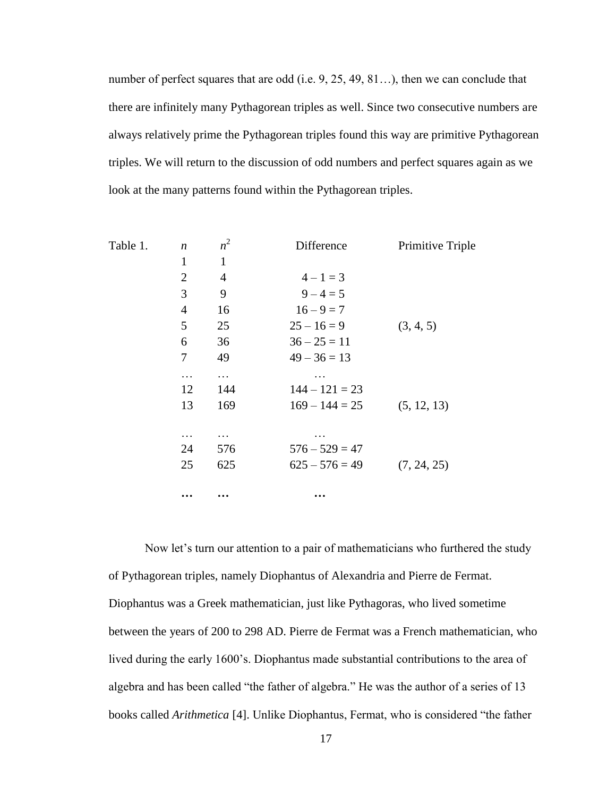number of perfect squares that are odd (i.e. 9, 25, 49, 81...), then we can conclude that there are infinitely many Pythagorean triples as well. Since two consecutive numbers are always relatively prime the Pythagorean triples found this way are primitive Pythagorean triples. We will return to the discussion of odd numbers and perfect squares again as we look at the many patterns found within the Pythagorean triples.

| Table 1. | $\boldsymbol{n}$ | $n^2$    | Difference       | Primitive Triple |
|----------|------------------|----------|------------------|------------------|
|          | 1                | 1        |                  |                  |
|          | $\overline{2}$   | 4        | $4 - 1 = 3$      |                  |
|          | 3                | 9        | $9 - 4 = 5$      |                  |
|          | 4                | 16       | $16 - 9 = 7$     |                  |
|          | 5                | 25       | $25 - 16 = 9$    | (3, 4, 5)        |
|          | 6                | 36       | $36 - 25 = 11$   |                  |
|          | 7                | 49       | $49 - 36 = 13$   |                  |
|          | .                | $\ddots$ |                  |                  |
|          | 12               | 144      | $144 - 121 = 23$ |                  |
|          | 13               | 169      | $169 - 144 = 25$ | (5, 12, 13)      |
|          |                  |          |                  |                  |
|          | .                | .        |                  |                  |
|          | 24               | 576      | $576 - 529 = 47$ |                  |
|          | 25               | 625      | $625 - 576 = 49$ | (7, 24, 25)      |
|          |                  |          |                  |                  |
|          | $\cdots$         | $\cdots$ | $\cdots$         |                  |

Now let's turn our attention to a pair of mathematicians who furthered the study of Pythagorean triples, namely Diophantus of Alexandria and Pierre de Fermat. Diophantus was a Greek mathematician, just like Pythagoras, who lived sometime between the years of 200 to 298 AD. Pierre de Fermat was a French mathematician, who lived during the early 1600's. Diophantus made substantial contributions to the area of algebra and has been called "the father of algebra." He was the author of a series of 13 books called *Arithmetica* [4]. Unlike Diophantus, Fermat, who is considered "the father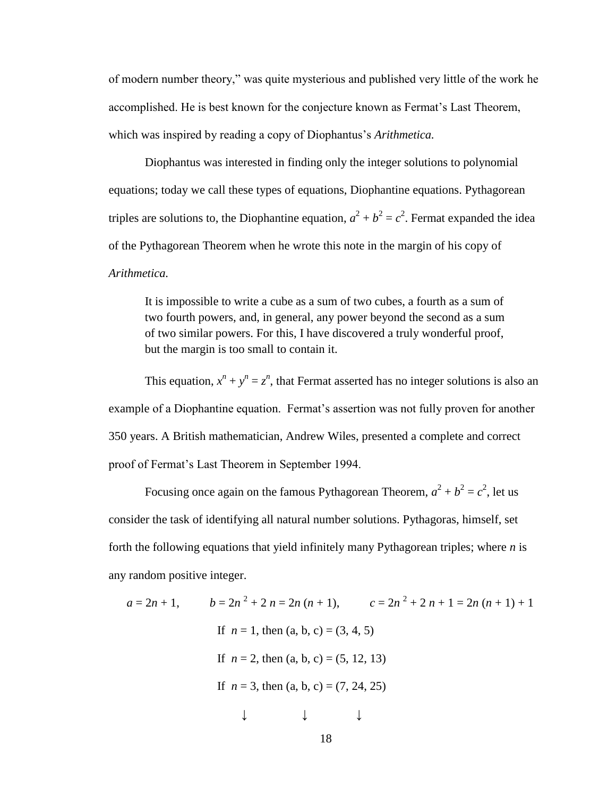of modern number theory," was quite mysterious and published very little of the work he accomplished. He is best known for the conjecture known as Fermat's Last Theorem, which was inspired by reading a copy of Diophantus's *Arithmetica.*

Diophantus was interested in finding only the integer solutions to polynomial equations; today we call these types of equations, Diophantine equations. Pythagorean triples are solutions to, the Diophantine equation,  $a^2 + b^2 = c^2$ . Fermat expanded the idea of the Pythagorean Theorem when he wrote this note in the margin of his copy of *Arithmetica.*

It is impossible to write a cube as a sum of two cubes, a fourth as a sum of two fourth powers, and, in general, any power beyond the second as a sum of two similar powers. For this, I have discovered a truly wonderful proof, but the margin is too small to contain it.

This equation,  $x^n + y^n = z^n$ , that Fermat asserted has no integer solutions is also an example of a Diophantine equation. Fermat's assertion was not fully proven for another 350 years. A British mathematician, Andrew Wiles, presented a complete and correct proof of Fermat's Last Theorem in September 1994.

Focusing once again on the famous Pythagorean Theorem,  $a^2 + b^2 = c^2$ , let us consider the task of identifying all natural number solutions. Pythagoras, himself, set forth the following equations that yield infinitely many Pythagorean triples; where *n* is any random positive integer.

$$
a = 2n + 1, \qquad b = 2n^2 + 2 \ n = 2n \ (n + 1), \qquad c = 2n^2 + 2 \ n + 1 = 2n \ (n + 1) + 1
$$
\n
$$
\text{If } n = 1 \text{, then } (a, b, c) = (3, 4, 5)
$$
\n
$$
\text{If } n = 2 \text{, then } (a, b, c) = (5, 12, 13)
$$
\n
$$
\text{If } n = 3 \text{, then } (a, b, c) = (7, 24, 25)
$$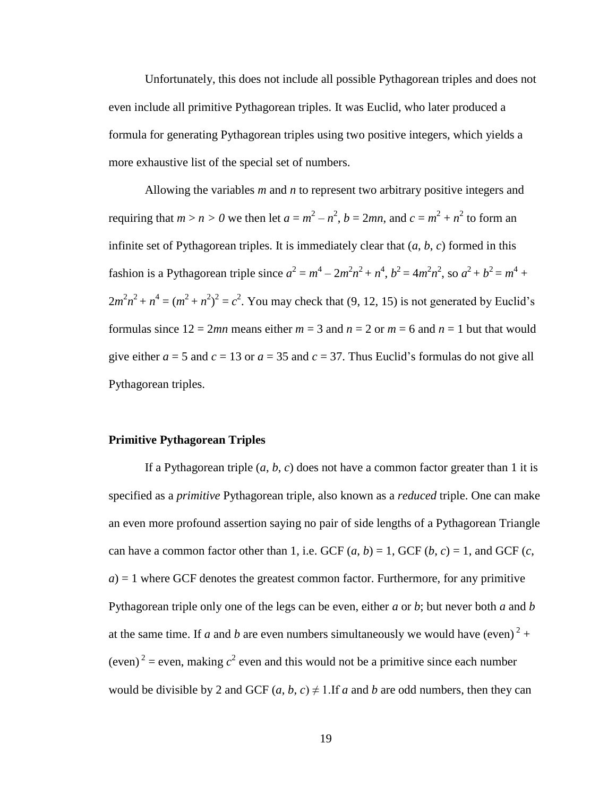Unfortunately, this does not include all possible Pythagorean triples and does not even include all primitive Pythagorean triples. It was Euclid, who later produced a formula for generating Pythagorean triples using two positive integers, which yields a more exhaustive list of the special set of numbers.

Allowing the variables *m* and *n* to represent two arbitrary positive integers and requiring that  $m > n > 0$  we then let  $a = m^2 - n^2$ ,  $b = 2mn$ , and  $c = m^2 + n^2$  to form an infinite set of Pythagorean triples. It is immediately clear that (*a*, *b*, *c*) formed in this fashion is a Pythagorean triple since  $a^2 = m^4 - 2m^2n^2 + n^4$ ,  $b^2 = 4m^2n^2$ , so  $a^2 + b^2 = m^4 +$  $2m^2n^2 + n^4 = (m^2 + n^2)^2 = c^2$ . You may check that (9, 12, 15) is not generated by Euclid's formulas since  $12 = 2mn$  means either  $m = 3$  and  $n = 2$  or  $m = 6$  and  $n = 1$  but that would give either  $a = 5$  and  $c = 13$  or  $a = 35$  and  $c = 37$ . Thus Euclid's formulas do not give all Pythagorean triples.

### **Primitive Pythagorean Triples**

If a Pythagorean triple  $(a, b, c)$  does not have a common factor greater than 1 it is specified as a *primitive* Pythagorean triple, also known as a *reduced* triple. One can make an even more profound assertion saying no pair of side lengths of a Pythagorean Triangle can have a common factor other than 1, i.e. GCF  $(a, b) = 1$ , GCF  $(b, c) = 1$ , and GCF  $(c,$  $a$ ) = 1 where GCF denotes the greatest common factor. Furthermore, for any primitive Pythagorean triple only one of the legs can be even, either *a* or *b*; but never both *a* and *b* at the same time. If *a* and *b* are even numbers simultaneously we would have (even)<sup>2</sup> + (even)<sup>2</sup> = even, making  $c^2$  even and this would not be a primitive since each number would be divisible by 2 and GCF  $(a, b, c) \neq 1$ . If *a* and *b* are odd numbers, then they can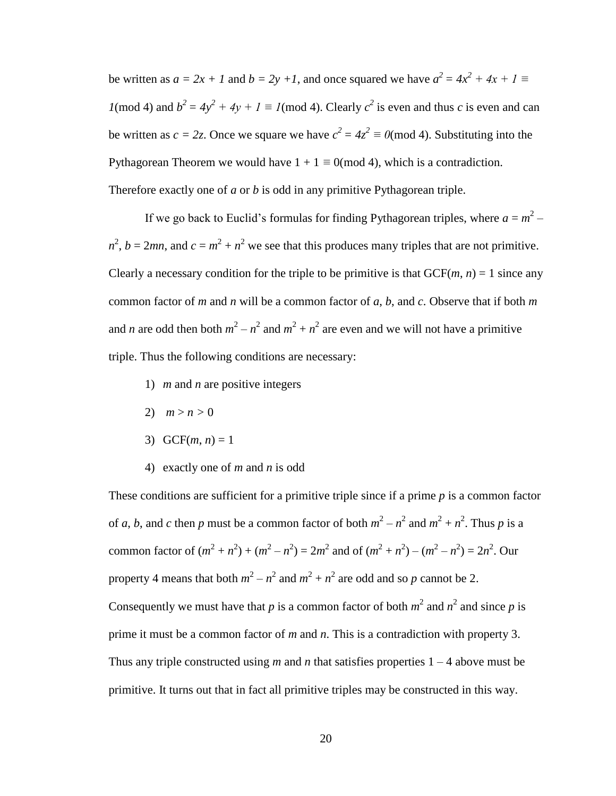be written as  $a = 2x + 1$  and  $b = 2y +1$ , and once squared we have  $a^2 = 4x^2 + 4x + 1 \equiv$ *1*(mod 4) and  $b^2 = 4y^2 + 4y + 1 \equiv I \pmod{4}$ . Clearly  $c^2$  is even and thus *c* is even and can be written as  $c = 2z$ . Once we square we have  $c^2 = 4z^2 \equiv 0 \pmod{4}$ . Substituting into the Pythagorean Theorem we would have  $1 + 1 \equiv 0 \pmod{4}$ , which is a contradiction. Therefore exactly one of *a* or *b* is odd in any primitive Pythagorean triple.

If we go back to Euclid's formulas for finding Pythagorean triples, where  $a = m^2$  $n^2$ ,  $b = 2mn$ , and  $c = m^2 + n^2$  we see that this produces many triples that are not primitive. Clearly a necessary condition for the triple to be primitive is that  $GCF(m, n) = 1$  since any common factor of *m* and *n* will be a common factor of *a*, *b*, and *c*. Observe that if both *m* and *n* are odd then both  $m^2 - n^2$  and  $m^2 + n^2$  are even and we will not have a primitive triple. Thus the following conditions are necessary:

- 1) *m* and *n* are positive integers
- 2)  $m > n > 0$
- 3)  $GCF(m, n) = 1$
- 4) exactly one of *m* and *n* is odd

These conditions are sufficient for a primitive triple since if a prime *p* is a common factor of *a*, *b*, and *c* then *p* must be a common factor of both  $m^2 - n^2$  and  $m^2 + n^2$ . Thus *p* is a common factor of  $(m^2 + n^2) + (m^2 - n^2) = 2m^2$  and of  $(m^2 + n^2) - (m^2 - n^2) = 2n^2$ . Our property 4 means that both  $m^2 - n^2$  and  $m^2 + n^2$  are odd and so *p* cannot be 2. Consequently we must have that *p* is a common factor of both  $m^2$  and  $n^2$  and since *p* is prime it must be a common factor of *m* and *n*. This is a contradiction with property 3. Thus any triple constructed using  $m$  and  $n$  that satisfies properties  $1 - 4$  above must be primitive. It turns out that in fact all primitive triples may be constructed in this way.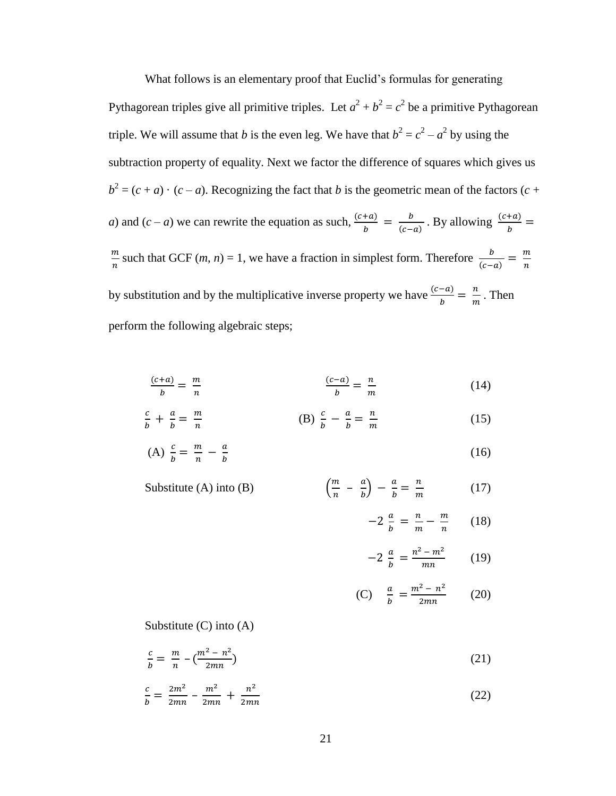What follows is an elementary proof that Euclid's formulas for generating Pythagorean triples give all primitive triples. Let  $a^2 + b^2 = c^2$  be a primitive Pythagorean triple. We will assume that *b* is the even leg. We have that  $b^2 = c^2 - a^2$  by using the subtraction property of equality. Next we factor the difference of squares which gives us  $b^2 = (c + a) \cdot (c - a)$ . Recognizing the fact that *b* is the geometric mean of the factors (*c* + *a*) and  $(c - a)$  we can rewrite the equation as such,  $\frac{c}{c}$  $\frac{+a)}{b} = \frac{b}{(c-a)}$  $\frac{b}{(c-a)}$ . By allowing  $\frac{(c+a)}{b}$  = m  $\frac{m}{n}$  such that GCF (*m*, *n*) = 1, we have a fraction in simplest form. Therefore  $\frac{b}{(c-a)} = \frac{m}{n}$  $\boldsymbol{n}$ by substitution and by the multiplicative inverse property we have  $\frac{(c-a)}{b} = \frac{n}{m}$  $\frac{n}{m}$ . Then perform the following algebraic steps;

$$
\frac{(c+a)}{b} = \frac{m}{n} \qquad \frac{(c-a)}{b} = \frac{n}{m} \qquad (14)
$$

$$
\frac{c}{b} + \frac{a}{b} = \frac{m}{n}
$$
 (B) 
$$
\frac{c}{b} - \frac{a}{b} = \frac{n}{m}
$$
 (15)

(A) 
$$
\frac{c}{b} = \frac{m}{n} - \frac{a}{b}
$$
 (16)

Substitute (A) into (B) 
$$
\left(\frac{m}{n} - \frac{a}{b}\right) - \frac{a}{b} = \frac{n}{m}
$$
 (17)

$$
-2\frac{a}{b} = \frac{n}{m} - \frac{m}{n} \qquad (18)
$$

$$
-2\frac{a}{b} = \frac{n^2 - m^2}{mn} \qquad (19)
$$

(C) 
$$
\frac{a}{b} = \frac{m^2 - n^2}{2mn}
$$
 (20)

Substitute (C) into (A)

$$
\frac{c}{b} = \frac{m}{n} - \left(\frac{m^2 - n^2}{2mn}\right) \tag{21}
$$

$$
\frac{c}{b} = \frac{2m^2}{2mn} - \frac{m^2}{2mn} + \frac{n^2}{2mn}
$$
 (22)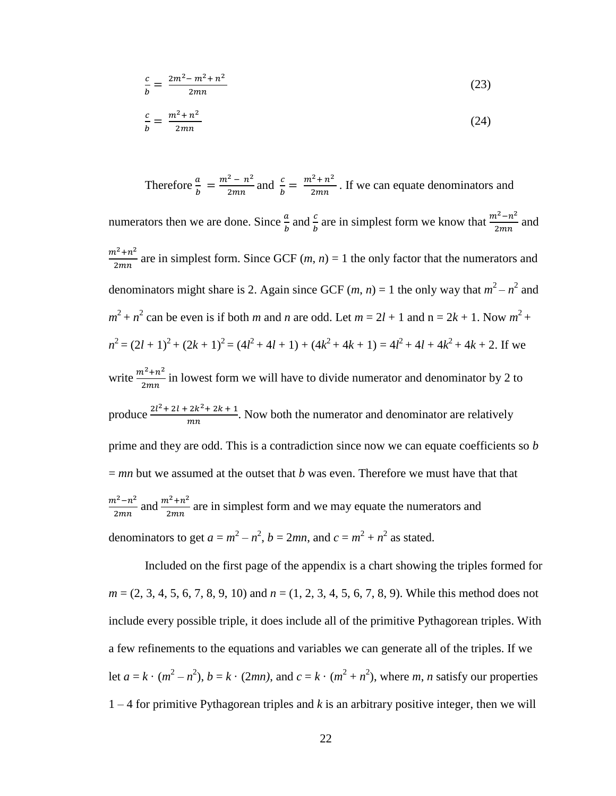$$
\frac{c}{b} = \frac{2m^2 - m^2 + n^2}{2mn} \tag{23}
$$

$$
\frac{c}{b} = \frac{m^2 + n^2}{2mn} \tag{24}
$$

Therefore  $\frac{a}{b} = \frac{m^2 - n^2}{2mn}$  $\frac{a^2 - n^2}{2mn}$  and  $\frac{c}{b} = \frac{m^2 + n^2}{2mn}$  $\frac{1}{2mn}$ . If we can equate denominators and numerators then we are done. Since  $\frac{a}{b}$  and  $\frac{c}{b}$  are in simplest form we know that  $\frac{m^2 - n^2}{2mn}$  $\frac{1}{2mn}$  and  $m^2 + n^2$  $\frac{n+n}{2mn}$  are in simplest form. Since GCF  $(m, n) = 1$  the only factor that the numerators and denominators might share is 2. Again since GCF  $(m, n) = 1$  the only way that  $m^2 - n^2$  and  $m^2 + n^2$  can be even is if both *m* and *n* are odd. Let  $m = 2l + 1$  and  $n = 2k + 1$ . Now  $m^2 +$  $n^2 = (2l + 1)^2 + (2k + 1)^2 = (4l^2 + 4l + 1) + (4k^2 + 4k + 1) = 4l^2 + 4l + 4k^2 + 4k + 2$ . If we write  $\frac{m^2 + n^2}{2m}$  $\frac{n+n}{2mn}$  in lowest form we will have to divide numerator and denominator by 2 to produce  $\frac{2l^2 + 2l + 2k^2}{m}$  $\frac{2k+2k+1}{mn}$ . Now both the numerator and denominator are relatively prime and they are odd. This is a contradiction since now we can equate coefficients so *b* = *mn* but we assumed at the outset that *b* was even. Therefore we must have that that  $m^2 - n^2$  $rac{n^2-n^2}{2mn}$  and  $rac{m^2+n^2}{2mn}$  $\frac{n+n}{2mn}$  are in simplest form and we may equate the numerators and denominators to get  $a = m^2 - n^2$ ,  $b = 2mn$ , and  $c = m^2 + n^2$  as stated.

Included on the first page of the appendix is a chart showing the triples formed for *m* = (2, 3, 4, 5, 6, 7, 8, 9, 10) and *n* = (1, 2, 3, 4, 5, 6, 7, 8, 9). While this method does not include every possible triple, it does include all of the primitive Pythagorean triples. With a few refinements to the equations and variables we can generate all of the triples. If we let  $a = k \cdot (m^2 - n^2)$ ,  $b = k \cdot (2mn)$ , and  $c = k \cdot (m^2 + n^2)$ , where *m*, *n* satisfy our properties 1 – 4 for primitive Pythagorean triples and *k* is an arbitrary positive integer, then we will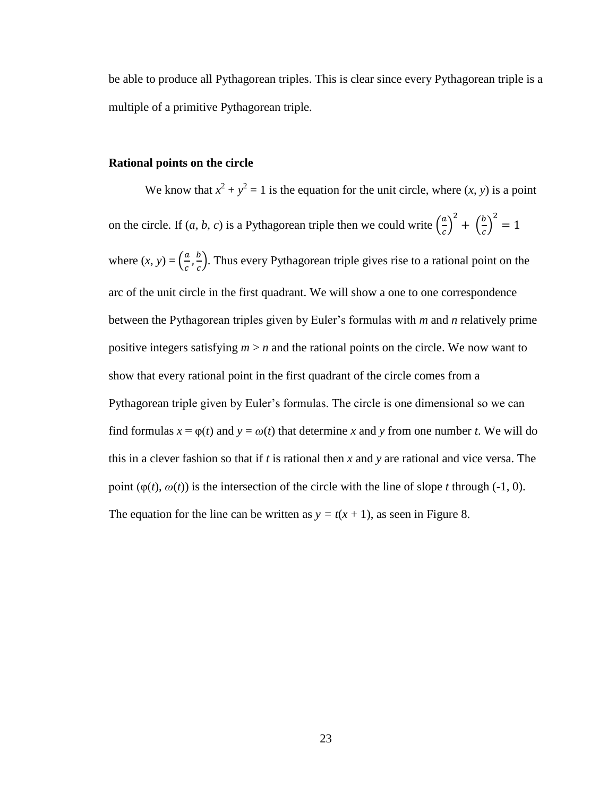be able to produce all Pythagorean triples. This is clear since every Pythagorean triple is a multiple of a primitive Pythagorean triple.

#### **Rational points on the circle**

We know that  $x^2 + y^2 = 1$  is the equation for the unit circle, where  $(x, y)$  is a point on the circle. If  $(a, b, c)$  is a Pythagorean triple then we could write  $\left(\frac{a}{b}, a\right)$  $\left(\frac{a}{c}\right)^2 + \left(\frac{b}{c}\right)$  $\left(\frac{b}{c}\right)^2 =$ where  $(x, y) = \left(\frac{a}{b}\right)$  $\frac{a}{c}$ ,  $\frac{b}{c}$  $\frac{b}{c}$ . Thus every Pythagorean triple gives rise to a rational point on the arc of the unit circle in the first quadrant. We will show a one to one correspondence between the Pythagorean triples given by Euler's formulas with *m* and *n* relatively prime positive integers satisfying *m* > *n* and the rational points on the circle. We now want to show that every rational point in the first quadrant of the circle comes from a Pythagorean triple given by Euler's formulas. The circle is one dimensional so we can find formulas  $x = \varphi(t)$  and  $y = \omega(t)$  that determine x and y from one number t. We will do this in a clever fashion so that if *t* is rational then *x* and *y* are rational and vice versa. The point  $(\varphi(t), \varphi(t))$  is the intersection of the circle with the line of slope *t* through (-1, 0). The equation for the line can be written as  $y = t(x + 1)$ , as seen in Figure 8.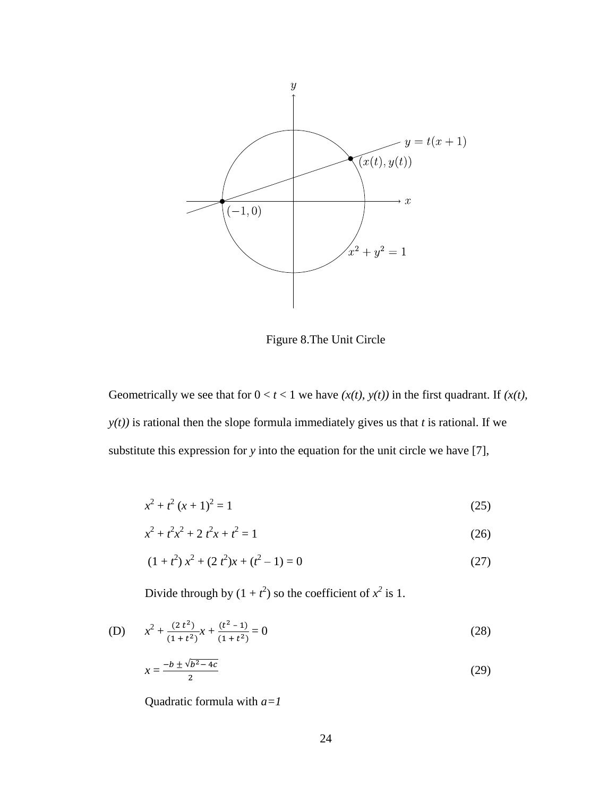

Figure 8.The Unit Circle

Geometrically we see that for  $0 < t < 1$  we have  $(x(t), y(t))$  in the first quadrant. If  $(x(t), y(t))$ *y(t))* is rational then the slope formula immediately gives us that *t* is rational. If we substitute this expression for *y* into the equation for the unit circle we have [7],

$$
x^2 + t^2 (x + 1)^2 = 1
$$
 (25)

$$
x^2 + t^2 x^2 + 2 t^2 x + t^2 = 1
$$
 (26)

$$
(1+t^2) x^2 + (2t^2) x + (t^2 - 1) = 0
$$
 (27)

Divide through by  $(1 + t^2)$  so the coefficient of  $x^2$  is 1.

(D) 
$$
x^{2} + \frac{(2 t^{2})}{(1 + t^{2})}x + \frac{(t^{2} - 1)}{(1 + t^{2})} = 0
$$
 (28)

$$
x = \frac{-b \pm \sqrt{b^2 - 4c}}{2} \tag{29}
$$

Quadratic formula with *a=1*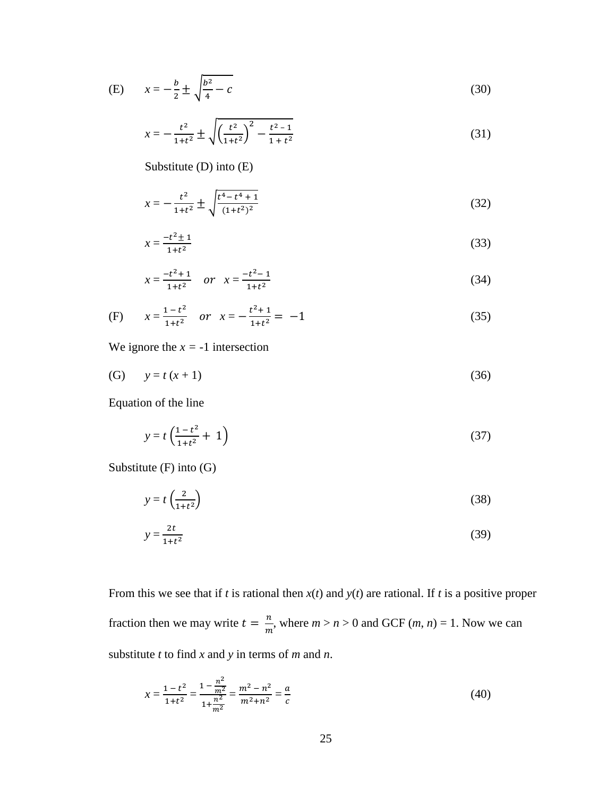(E) 
$$
x = -\frac{b}{2} \pm \sqrt{\frac{b^2}{4} - c}
$$
 (30)

$$
x = -\frac{t^2}{1+t^2} \pm \sqrt{\left(\frac{t^2}{1+t^2}\right)^2 - \frac{t^2 - 1}{1+t^2}}
$$
(31)

Substitute (D) into (E)

$$
x = -\frac{t^2}{1+t^2} \pm \sqrt{\frac{t^4 - t^4 + 1}{(1+t^2)^2}}\tag{32}
$$

$$
x = \frac{-t^2 \pm 1}{1 + t^2} \tag{33}
$$

$$
x = \frac{-t^2 + 1}{1 + t^2} \quad \text{or} \quad x = \frac{-t^2 - 1}{1 + t^2} \tag{34}
$$

(F) 
$$
x = \frac{1 - t^2}{1 + t^2}
$$
 or  $x = -\frac{t^2 + 1}{1 + t^2} = -1$  (35)

We ignore the  $x = -1$  intersection

(G)  $y = t(x + 1)$  (36)

Equation of the line

$$
y = t \left( \frac{1 - t^2}{1 + t^2} + 1 \right) \tag{37}
$$

Substitute (F) into (G)

$$
y = t \left(\frac{2}{1 + t^2}\right) \tag{38}
$$

$$
y = \frac{2t}{1+t^2} \tag{39}
$$

From this we see that if *t* is rational then *x*(*t*) and *y*(*t*) are rational. If *t* is a positive proper fraction then we may write  $t = \frac{n}{m}$  $\frac{n}{m}$ , where  $m > n > 0$  and GCF  $(m, n) = 1$ . Now we can substitute *t* to find *x* and *y* in terms of *m* and *n*.

$$
x = \frac{1 - t^2}{1 + t^2} = \frac{1 - \frac{n^2}{m^2}}{1 + \frac{n^2}{m^2}} = \frac{m^2 - n^2}{m^2 + n^2} = \frac{a}{c}
$$
(40)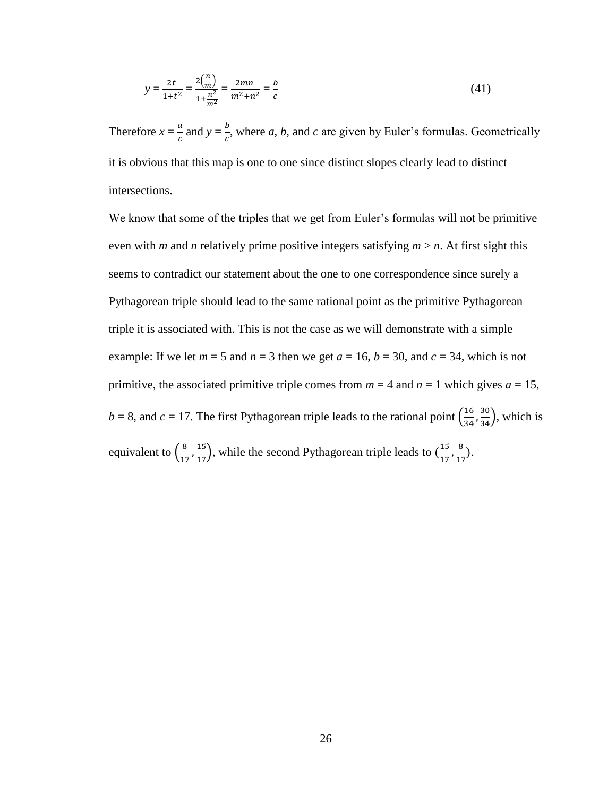$$
y = \frac{2t}{1+t^2} = \frac{2\left(\frac{n}{m}\right)}{1+\frac{n^2}{m^2}} = \frac{2mn}{m^2+n^2} = \frac{b}{c}
$$
 (41)

Therefore  $x = \frac{a}{b}$  $\frac{a}{c}$  and  $y = \frac{b}{c}$  $\frac{b}{c}$ , where *a*, *b*, and *c* are given by Euler's formulas. Geometrically it is obvious that this map is one to one since distinct slopes clearly lead to distinct intersections.

We know that some of the triples that we get from Euler's formulas will not be primitive even with *m* and *n* relatively prime positive integers satisfying  $m > n$ . At first sight this seems to contradict our statement about the one to one correspondence since surely a Pythagorean triple should lead to the same rational point as the primitive Pythagorean triple it is associated with. This is not the case as we will demonstrate with a simple example: If we let  $m = 5$  and  $n = 3$  then we get  $a = 16$ ,  $b = 30$ , and  $c = 34$ , which is not primitive, the associated primitive triple comes from  $m = 4$  and  $n = 1$  which gives  $a = 15$ ,  $b = 8$ , and  $c = 17$ . The first Pythagorean triple leads to the rational point  $\left(\frac{1}{2}\right)$  $\frac{16}{34}, \frac{30}{34}$ , which is equivalent to  $\left(\frac{8}{15}\right)$  $\left(\frac{8}{17}, \frac{15}{17}\right)$ , while the second Pythagorean triple leads to  $\left(\frac{1}{17}, \frac{15}{17}\right)$  $\frac{15}{17}, \frac{8}{17}$  $\frac{0}{17}$ ).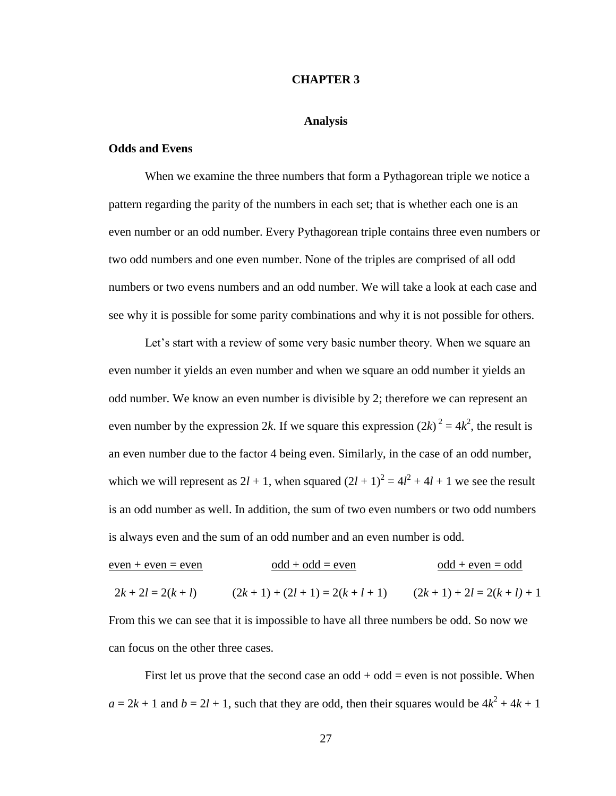#### **CHAPTER 3**

#### **Analysis**

#### **Odds and Evens**

When we examine the three numbers that form a Pythagorean triple we notice a pattern regarding the parity of the numbers in each set; that is whether each one is an even number or an odd number. Every Pythagorean triple contains three even numbers or two odd numbers and one even number. None of the triples are comprised of all odd numbers or two evens numbers and an odd number. We will take a look at each case and see why it is possible for some parity combinations and why it is not possible for others.

Let's start with a review of some very basic number theory. When we square an even number it yields an even number and when we square an odd number it yields an odd number. We know an even number is divisible by 2; therefore we can represent an even number by the expression 2k. If we square this expression  $(2k)^2 = 4k^2$ , the result is an even number due to the factor 4 being even. Similarly, in the case of an odd number, which we will represent as  $2l + 1$ , when squared  $(2l + 1)^2 = 4l^2 + 4l + 1$  we see the result is an odd number as well. In addition, the sum of two even numbers or two odd numbers is always even and the sum of an odd number and an even number is odd.

| $even + even = even$                | $odd + odd = even$                                                                     | $odd + even = odd$         |
|-------------------------------------|----------------------------------------------------------------------------------------|----------------------------|
| $2k + 2l = 2(k + l)$                | $(2k+1) + (2l+1) = 2(k+l+1)$                                                           | $(2k+1) + 2l = 2(k+l) + 1$ |
|                                     | From this we can see that it is impossible to have all three numbers be odd. So now we |                            |
| can focus on the other three cases. |                                                                                        |                            |

First let us prove that the second case an  $odd + odd = even$  is not possible. When  $a = 2k + 1$  and  $b = 2l + 1$ , such that they are odd, then their squares would be  $4k^2 + 4k + 1$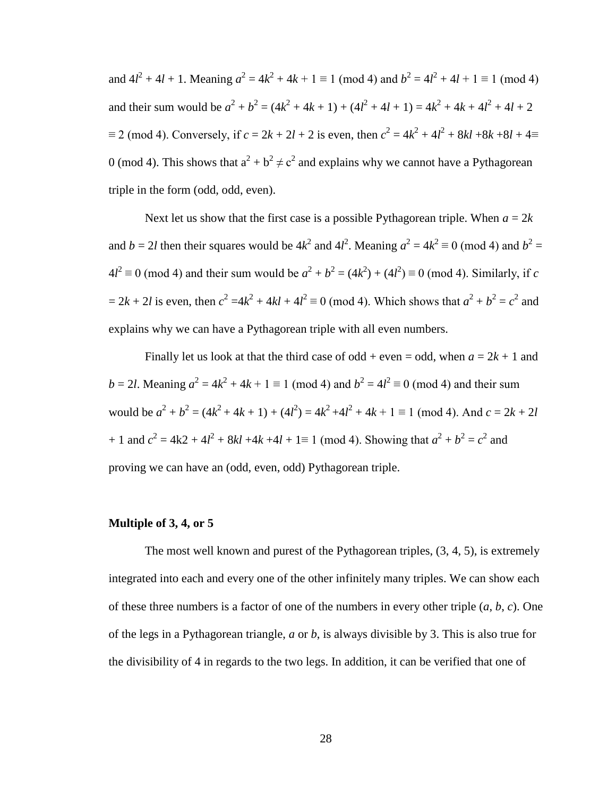and  $4l^2 + 4l + 1$ . Meaning  $a^2 = 4k^2 + 4k + 1 \equiv 1 \pmod{4}$  and  $b^2 = 4l^2 + 4l + 1 \equiv 1 \pmod{4}$ and their sum would be  $a^2 + b^2 = (4k^2 + 4k + 1) + (4l^2 + 4l + 1) = 4k^2 + 4k + 4l^2 + 4l + 2$  $\equiv$  2 (mod 4). Conversely, if  $c = 2k + 2l + 2$  is even, then  $c^2 = 4k^2 + 4l^2 + 8kl + 8k + 8l + 4 \equiv$ 0 (mod 4). This shows that  $a^2 + b^2 \neq c^2$  and explains why we cannot have a Pythagorean triple in the form (odd, odd, even).

Next let us show that the first case is a possible Pythagorean triple. When  $a = 2k$ and  $b = 2l$  then their squares would be  $4k^2$  and  $4l^2$ . Meaning  $a^2 = 4k^2 \equiv 0 \pmod{4}$  and  $b^2 =$  $4l^2 \equiv 0 \pmod{4}$  and their sum would be  $a^2 + b^2 = (4k^2) + (4l^2) \equiv 0 \pmod{4}$ . Similarly, if *c*  $= 2k + 2l$  is even, then  $c^2 = 4k^2 + 4kl + 4l^2 \equiv 0 \pmod{4}$ . Which shows that  $a^2 + b^2 = c^2$  and explains why we can have a Pythagorean triple with all even numbers.

Finally let us look at that the third case of odd + even = odd, when  $a = 2k + 1$  and *b* = 2*l*. Meaning  $a^2 = 4k^2 + 4k + 1 \equiv 1 \pmod{4}$  and  $b^2 = 4l^2 \equiv 0 \pmod{4}$  and their sum would be  $a^2 + b^2 = (4k^2 + 4k + 1) + (4l^2) = 4k^2 + 4l^2 + 4k + 1 \equiv 1 \pmod{4}$ . And  $c = 2k + 2l$ + 1 and  $c^2 = 4k^2 + 4l^2 + 8kl + 4k + 4l + 1 \equiv 1 \pmod{4}$ . Showing that  $a^2 + b^2 = c^2$  and proving we can have an (odd, even, odd) Pythagorean triple.

#### **Multiple of 3, 4, or 5**

The most well known and purest of the Pythagorean triples, (3, 4, 5), is extremely integrated into each and every one of the other infinitely many triples. We can show each of these three numbers is a factor of one of the numbers in every other triple (*a*, *b*, *c*). One of the legs in a Pythagorean triangle, *a* or *b*, is always divisible by 3. This is also true for the divisibility of 4 in regards to the two legs. In addition, it can be verified that one of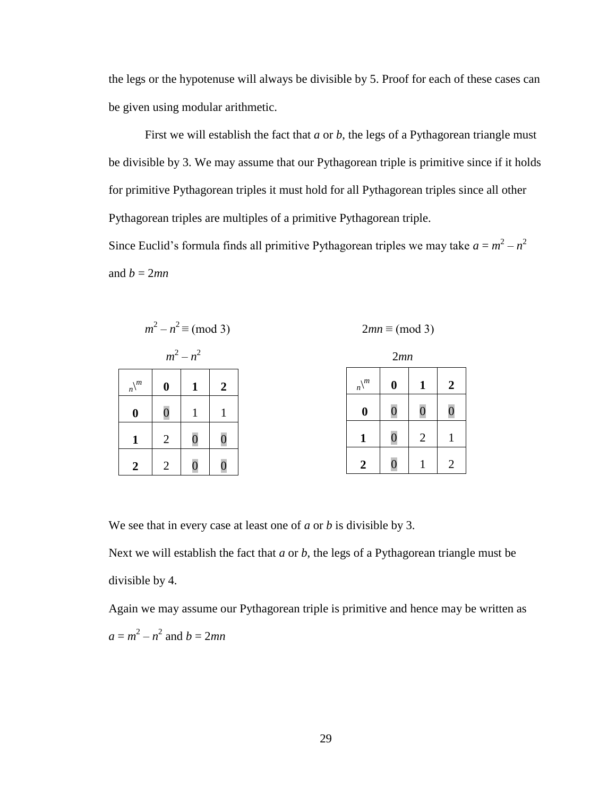the legs or the hypotenuse will always be divisible by 5. Proof for each of these cases can be given using modular arithmetic.

First we will establish the fact that *a* or *b*, the legs of a Pythagorean triangle must be divisible by 3. We may assume that our Pythagorean triple is primitive since if it holds for primitive Pythagorean triples it must hold for all Pythagorean triples since all other Pythagorean triples are multiples of a primitive Pythagorean triple.

Since Euclid's formula finds all primitive Pythagorean triples we may take  $a = m^2 - n^2$ and  $b = 2mn$ 



We see that in every case at least one of *a* or *b* is divisible by 3.

Next we will establish the fact that *a* or *b*, the legs of a Pythagorean triangle must be divisible by 4.

Again we may assume our Pythagorean triple is primitive and hence may be written as  $a = m^2 - n^2$  and  $b = 2mn$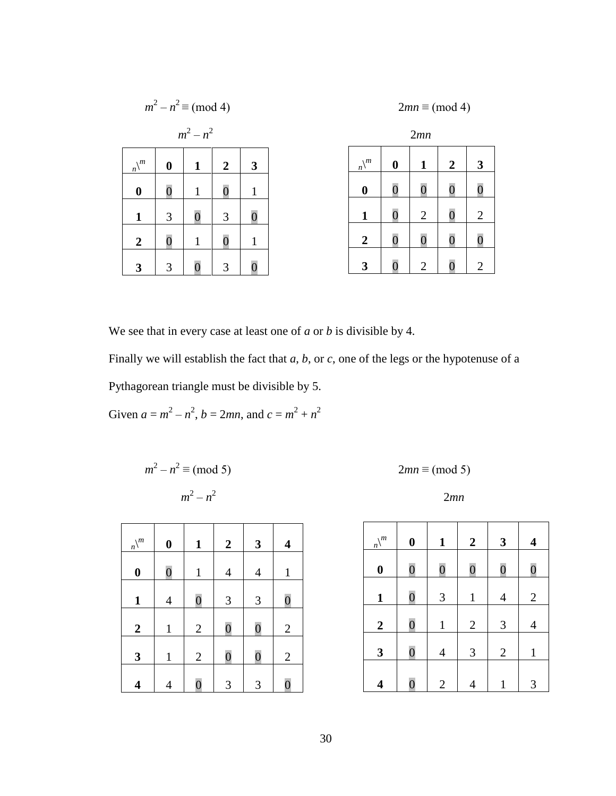|                               |                | $m^2 - n^2 \equiv \pmod{4}$ |                                 |                |                               |                  | $2mn \equiv (mod 4)$ |                |                |
|-------------------------------|----------------|-----------------------------|---------------------------------|----------------|-------------------------------|------------------|----------------------|----------------|----------------|
|                               |                | $m^2 - n^2$                 |                                 |                |                               |                  | 2mn                  |                |                |
| $\setminus$ m<br>$n\setminus$ | $\bf{0}$       | 1                           | $\overline{2}$                  | 3              | $\setminus m$<br>$n\setminus$ | $\boldsymbol{0}$ | 1                    | $\overline{2}$ | $\mathbf{3}$   |
| $\boldsymbol{0}$              | $\overline{0}$ | $\mathbf{1}$                | $\hspace{.1cm} 0 \hspace{.1cm}$ | 1              | $\boldsymbol{0}$              | $\overline{0}$   | $\overline{0}$       | $\overline{0}$ | 0              |
| $\mathbf{1}$                  | 3              | $\overline{0}$              | 3                               | $\overline{0}$ | 1                             | $\overline{0}$   | $\overline{2}$       | $\overline{0}$ | $\overline{2}$ |
| $\boldsymbol{2}$              | $\overline{0}$ | $\mathbf{1}$                | 0                               | 1              | $\overline{2}$                | $\overline{0}$   | $\rm 0$              | $\overline{0}$ |                |
| 3                             | 3              | $\overline{0}$              | 3                               |                | 3                             | 0                | $\overline{2}$       |                | $\overline{2}$ |

We see that in every case at least one of *a* or *b* is divisible by 4.

Finally we will establish the fact that *a*, *b*, or *c*, one of the legs or the hypotenuse of a Pythagorean triangle must be divisible by 5.

Given  $a = m^2 - n^2$ ,  $b = 2mn$ , and  $c = m^2 + n^2$ 

$$
m2 - n2 \equiv (mod 5)
$$
  
 
$$
m2 - n2
$$
 2mn

| $\frac{n}{n}$    | $\boldsymbol{0}$ | 1              | $\boldsymbol{2}$ | 3              | $\overline{\mathbf{4}}$ |
|------------------|------------------|----------------|------------------|----------------|-------------------------|
| $\boldsymbol{0}$ | $\overline{0}$   | $\mathbf{1}$   | 4                | $\overline{4}$ | $\mathbf{1}$            |
| $\mathbf{1}$     | 4                | $\overline{0}$ | 3                | 3              | $\overline{0}$          |
| $\boldsymbol{2}$ | $\mathbf{1}$     | $\mathbf{2}$   | $\overline{0}$   | $\overline{0}$ | $\mathfrak{2}$          |
| $\mathbf{3}$     | $\mathbf{1}$     | $\mathbf{2}$   | $\overline{0}$   | $\overline{0}$ | $\overline{2}$          |
| 4                | 4                | $\overline{0}$ | 3                | 3              | $\overline{0}$          |

$$
2mn \equiv (mod 5)
$$

$$
2mn
$$

| $n\big\backslash m$ | $\boldsymbol{0}$ | $\mathbf{1}$   | $\boldsymbol{2}$ | 3              | $\overline{\mathbf{4}}$ |
|---------------------|------------------|----------------|------------------|----------------|-------------------------|
| $\boldsymbol{0}$    | $\overline{0}$   | $\overline{0}$ | $\overline{0}$   | $\overline{0}$ | $\overline{0}$          |
| $\mathbf{1}$        | $\overline{0}$   | $\mathfrak{Z}$ | $\mathbf{1}$     | $\overline{4}$ | $\mathbf{2}$            |
| $\boldsymbol{2}$    | $\overline{0}$   | $\mathbf{1}$   | $\overline{2}$   | 3              | 4                       |
| $\mathbf{3}$        | $\overline{0}$   | $\overline{4}$ | 3                | $\mathbf{2}$   | $\mathbf{1}$            |
| 4                   | $\overline{0}$   | $\mathbf{2}$   | 4                | 1              | 3                       |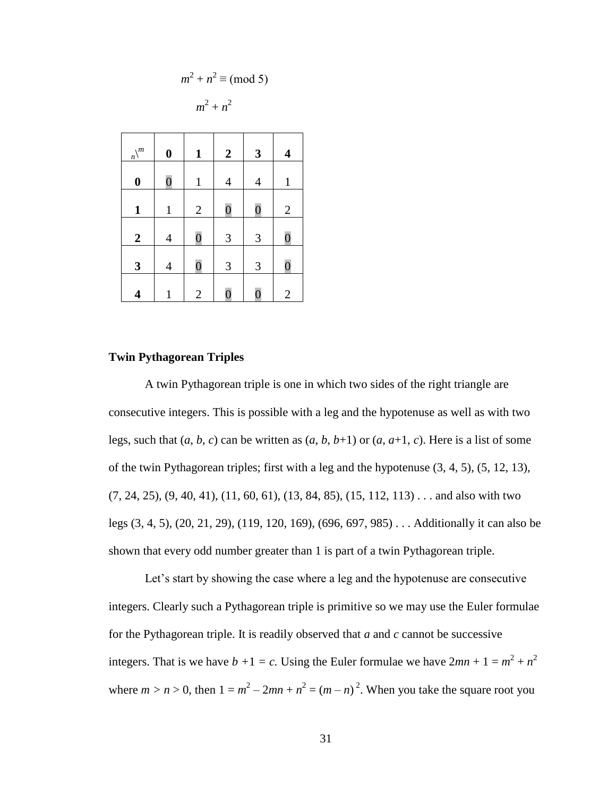$$
m^2 + n^2 \equiv \pmod{5}
$$

$$
m^2 + n^2
$$

| $\frac{n}{n}$    | $\boldsymbol{0}$ | $\mathbf{1}$   | $\boldsymbol{2}$ | $\mathbf{3}$   | $\overline{\mathbf{4}}$ |
|------------------|------------------|----------------|------------------|----------------|-------------------------|
| $\boldsymbol{0}$ | $\overline{0}$   | $\mathbf{1}$   | $\overline{4}$   | $\overline{4}$ | $\mathbf{1}$            |
| $\mathbf{1}$     | $\mathbf{1}$     | $\mathbf{2}$   | $\overline{0}$   | $\overline{0}$ | $\mathbf{2}$            |
| $\boldsymbol{2}$ | $\overline{4}$   | $\overline{0}$ | 3                | 3              | $\overline{0}$          |
| 3                | $\overline{4}$   | $\overline{0}$ | 3                | 3              | $\overline{0}$          |
| 4                | $\mathbf{1}$     | $\overline{2}$ | $\overline{0}$   | $\overline{0}$ | $\overline{2}$          |

#### **Twin Pythagorean Triples**

A twin Pythagorean triple is one in which two sides of the right triangle are consecutive integers. This is possible with a leg and the hypotenuse as well as with two legs, such that  $(a, b, c)$  can be written as  $(a, b, b+1)$  or  $(a, a+1, c)$ . Here is a list of some of the twin Pythagorean triples; first with a leg and the hypotenuse (3, 4, 5), (5, 12, 13),  $(7, 24, 25), (9, 40, 41), (11, 60, 61), (13, 84, 85), (15, 112, 113) \ldots$  and also with two legs (3, 4, 5), (20, 21, 29), (119, 120, 169), (696, 697, 985) . . . Additionally it can also be shown that every odd number greater than 1 is part of a twin Pythagorean triple.

Let's start by showing the case where a leg and the hypotenuse are consecutive integers. Clearly such a Pythagorean triple is primitive so we may use the Euler formulae for the Pythagorean triple. It is readily observed that *a* and *c* cannot be successive integers. That is we have  $b + 1 = c$ . Using the Euler formulae we have  $2mn + 1 = m^2 + n^2$ where  $m > n > 0$ , then  $1 = m^2 - 2mn + n^2 = (m - n)^2$ . When you take the square root you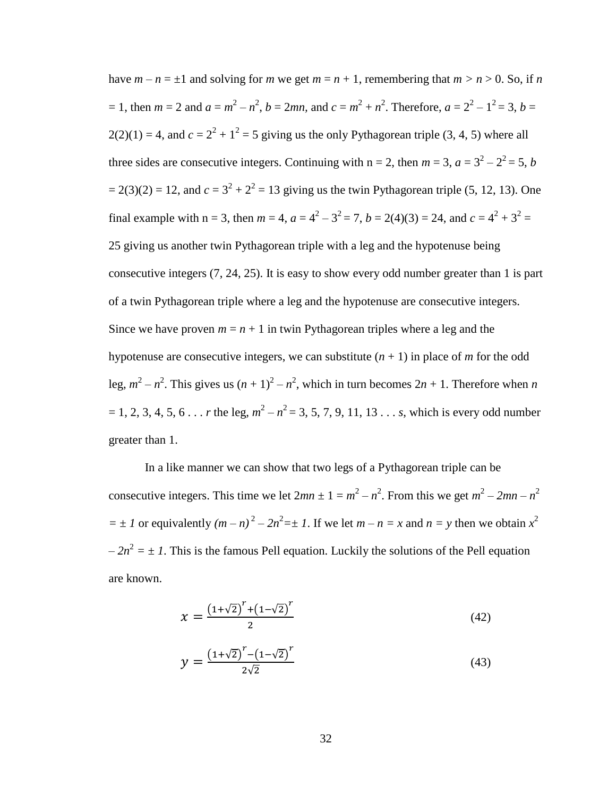have  $m - n = \pm 1$  and solving for *m* we get  $m = n + 1$ , remembering that  $m > n > 0$ . So, if *n*  $= 1$ , then  $m = 2$  and  $a = m^2 - n^2$ ,  $b = 2mn$ , and  $c = m^2 + n^2$ . Therefore,  $a = 2^2 - 1^2 = 3$ ,  $b = 2^2 - 1^2 = 3$  $2(2)(1) = 4$ , and  $c = 2<sup>2</sup> + 1<sup>2</sup> = 5$  giving us the only Pythagorean triple (3, 4, 5) where all three sides are consecutive integers. Continuing with  $n = 2$ , then  $m = 3$ ,  $a = 3^2 - 2^2 = 5$ , *b*  $= 2(3)(2) = 12$ , and  $c = 3<sup>2</sup> + 2<sup>2</sup> = 13$  giving us the twin Pythagorean triple (5, 12, 13). One final example with n = 3, then  $m = 4$ ,  $a = 4^2 - 3^2 = 7$ ,  $b = 2(4)(3) = 24$ , and  $c = 4^2 + 3^2 = 1$ 25 giving us another twin Pythagorean triple with a leg and the hypotenuse being consecutive integers (7, 24, 25). It is easy to show every odd number greater than 1 is part of a twin Pythagorean triple where a leg and the hypotenuse are consecutive integers. Since we have proven  $m = n + 1$  in twin Pythagorean triples where a leg and the hypotenuse are consecutive integers, we can substitute  $(n + 1)$  in place of *m* for the odd leg,  $m^2 - n^2$ . This gives us  $(n + 1)^2 - n^2$ , which in turn becomes  $2n + 1$ . Therefore when *n*  $= 1, 2, 3, 4, 5, 6...$  *r* the leg,  $m^2 - n^2 = 3, 5, 7, 9, 11, 13...$  *s*, which is every odd number greater than 1.

In a like manner we can show that two legs of a Pythagorean triple can be consecutive integers. This time we let  $2mn \pm 1 = m^2 - n^2$ . From this we get  $m^2 - 2mn - n^2$  $= \pm I$  or equivalently  $(m - n)^2 - 2n^2 = \pm I$ . If we let  $m - n = x$  and  $n = y$  then we obtain  $x^2$  $-2n^2 = \pm 1$ . This is the famous Pell equation. Luckily the solutions of the Pell equation are known.

$$
x = \frac{(1+\sqrt{2})^r + (1-\sqrt{2})^r}{2} \tag{42}
$$

$$
y = \frac{\left(1+\sqrt{2}\right)^{r} - \left(1-\sqrt{2}\right)^{r}}{2\sqrt{2}}
$$
\n(43)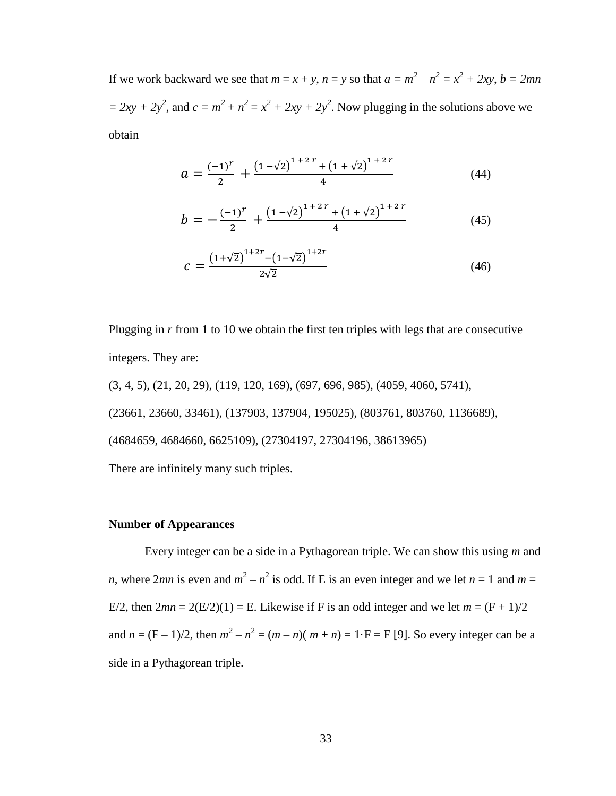If we work backward we see that  $m = x + y$ ,  $n = y$  so that  $a = m^2 - n^2 = x^2 + 2xy$ ,  $b = 2mn$  $= 2xy + 2y^2$ , and  $c = m^2 + n^2 = x^2 + 2xy + 2y^2$ . Now plugging in the solutions above we obtain

$$
a = \frac{(-1)^r}{2} + \frac{\left(1 - \sqrt{2}\right)^{1 + 2r} + \left(1 + \sqrt{2}\right)^{1 + 2r}}{4} \tag{44}
$$

$$
b = -\frac{(-1)^r}{2} + \frac{\left(1 - \sqrt{2}\right)^{1 + 2r} + \left(1 + \sqrt{2}\right)^{1 + 2r}}{4} \tag{45}
$$

$$
c = \frac{\left(1+\sqrt{2}\right)^{1+2r} - \left(1-\sqrt{2}\right)^{1+2r}}{2\sqrt{2}}
$$
\n(46)

Plugging in *r* from 1 to 10 we obtain the first ten triples with legs that are consecutive integers. They are:

(3, 4, 5), (21, 20, 29), (119, 120, 169), (697, 696, 985), (4059, 4060, 5741), (23661, 23660, 33461), (137903, 137904, 195025), (803761, 803760, 1136689), (4684659, 4684660, 6625109), (27304197, 27304196, 38613965) There are infinitely many such triples.

#### **Number of Appearances**

Every integer can be a side in a Pythagorean triple. We can show this using *m* and *n*, where 2*mn* is even and  $m^2 - n^2$  is odd. If E is an even integer and we let  $n = 1$  and  $m =$ E/2, then  $2mn = 2(E/2)(1) = E$ . Likewise if F is an odd integer and we let  $m = (F + 1)/2$ and  $n = (F - 1)/2$ , then  $m^2 - n^2 = (m - n)(m + n) = 1 \cdot F = F$  [9]. So every integer can be a side in a Pythagorean triple.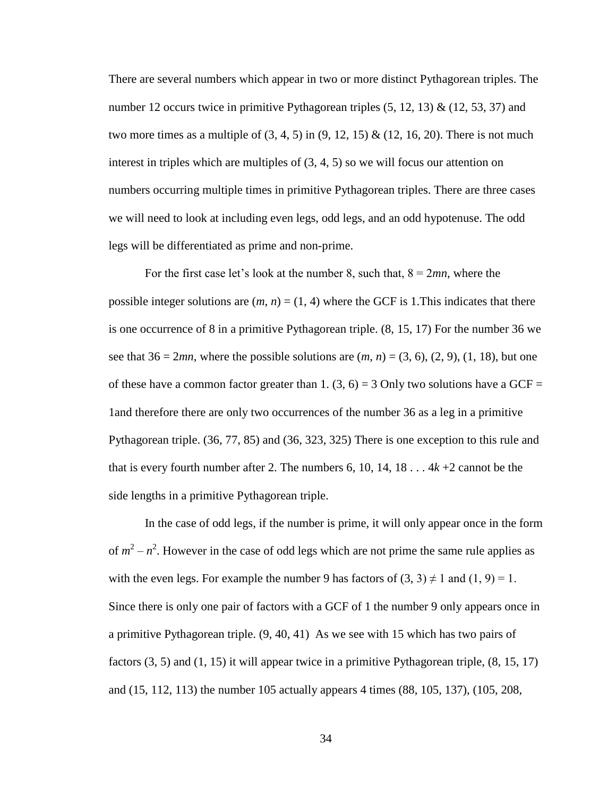There are several numbers which appear in two or more distinct Pythagorean triples. The number 12 occurs twice in primitive Pythagorean triples  $(5, 12, 13)$  &  $(12, 53, 37)$  and two more times as a multiple of  $(3, 4, 5)$  in  $(9, 12, 15)$  &  $(12, 16, 20)$ . There is not much interest in triples which are multiples of (3, 4, 5) so we will focus our attention on numbers occurring multiple times in primitive Pythagorean triples. There are three cases we will need to look at including even legs, odd legs, and an odd hypotenuse. The odd legs will be differentiated as prime and non-prime.

For the first case let's look at the number 8, such that,  $8 = 2mn$ , where the possible integer solutions are  $(m, n) = (1, 4)$  where the GCF is 1. This indicates that there is one occurrence of 8 in a primitive Pythagorean triple. (8, 15, 17) For the number 36 we see that  $36 = 2mn$ , where the possible solutions are  $(m, n) = (3, 6), (2, 9), (1, 18)$ , but one of these have a common factor greater than 1.  $(3, 6) = 3$  Only two solutions have a GCF = 1and therefore there are only two occurrences of the number 36 as a leg in a primitive Pythagorean triple. (36, 77, 85) and (36, 323, 325) There is one exception to this rule and that is every fourth number after 2. The numbers 6, 10, 14, 18  $\dots$  4 $k$  +2 cannot be the side lengths in a primitive Pythagorean triple.

In the case of odd legs, if the number is prime, it will only appear once in the form of  $m^2 - n^2$ . However in the case of odd legs which are not prime the same rule applies as with the even legs. For example the number 9 has factors of  $(3, 3) \neq 1$  and  $(1, 9) = 1$ . Since there is only one pair of factors with a GCF of 1 the number 9 only appears once in a primitive Pythagorean triple. (9, 40, 41) As we see with 15 which has two pairs of factors  $(3, 5)$  and  $(1, 15)$  it will appear twice in a primitive Pythagorean triple,  $(8, 15, 17)$ and (15, 112, 113) the number 105 actually appears 4 times (88, 105, 137), (105, 208,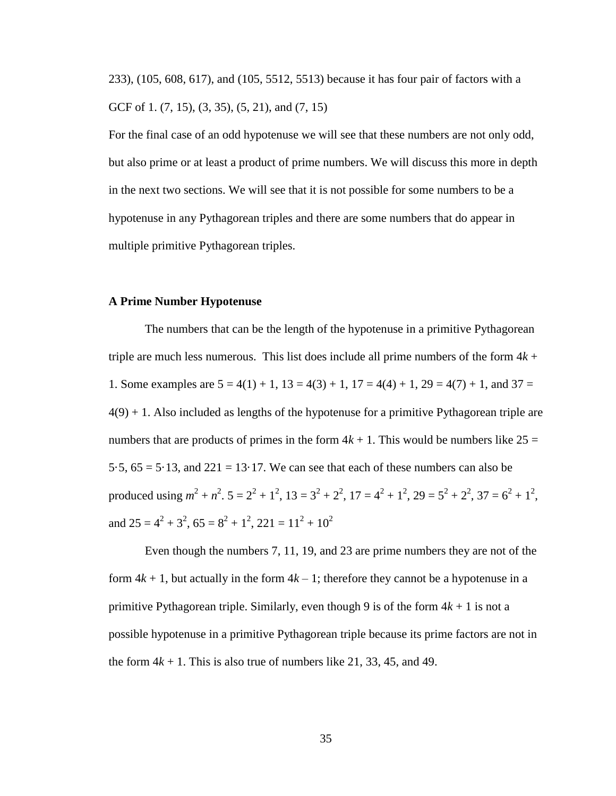233), (105, 608, 617), and (105, 5512, 5513) because it has four pair of factors with a GCF of 1. (7, 15), (3, 35), (5, 21), and (7, 15)

For the final case of an odd hypotenuse we will see that these numbers are not only odd, but also prime or at least a product of prime numbers. We will discuss this more in depth in the next two sections. We will see that it is not possible for some numbers to be a hypotenuse in any Pythagorean triples and there are some numbers that do appear in multiple primitive Pythagorean triples.

#### **A Prime Number Hypotenuse**

The numbers that can be the length of the hypotenuse in a primitive Pythagorean triple are much less numerous. This list does include all prime numbers of the form  $4k +$ 1. Some examples are  $5 = 4(1) + 1$ ,  $13 = 4(3) + 1$ ,  $17 = 4(4) + 1$ ,  $29 = 4(7) + 1$ , and  $37 =$  $4(9) + 1$ . Also included as lengths of the hypotenuse for a primitive Pythagorean triple are numbers that are products of primes in the form  $4k + 1$ . This would be numbers like  $25 =$ 5.5,  $65 = 5.13$ , and  $221 = 13.17$ . We can see that each of these numbers can also be produced using  $m^2 + n^2$ .  $5 = 2^2 + 1^2$ ,  $13 = 3^2 + 2^2$ ,  $17 = 4^2 + 1^2$ ,  $29 = 5^2 + 2^2$ ,  $37 = 6^2 + 1^2$ , and  $25 = 4^2 + 3^2$ ,  $65 = 8^2 + 1^2$ ,  $221 = 11^2 + 10^2$ 

Even though the numbers 7, 11, 19, and 23 are prime numbers they are not of the form  $4k + 1$ , but actually in the form  $4k - 1$ ; therefore they cannot be a hypotenuse in a primitive Pythagorean triple. Similarly, even though 9 is of the form  $4k + 1$  is not a possible hypotenuse in a primitive Pythagorean triple because its prime factors are not in the form  $4k + 1$ . This is also true of numbers like 21, 33, 45, and 49.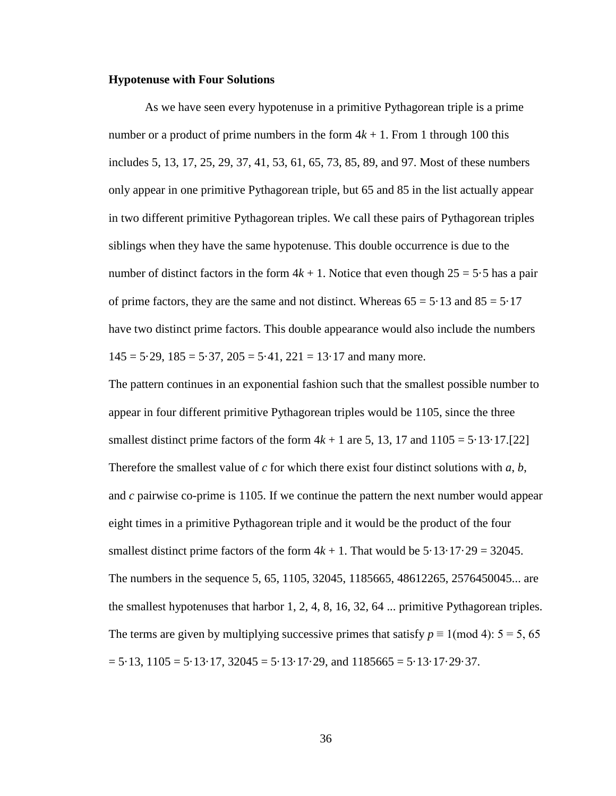#### **Hypotenuse with Four Solutions**

As we have seen every hypotenuse in a primitive Pythagorean triple is a prime number or a product of prime numbers in the form  $4k + 1$ . From 1 through 100 this includes 5, 13, 17, 25, 29, 37, 41, 53, 61, 65, 73, 85, 89, and 97. Most of these numbers only appear in one primitive Pythagorean triple, but 65 and 85 in the list actually appear in two different primitive Pythagorean triples. We call these pairs of Pythagorean triples siblings when they have the same hypotenuse. This double occurrence is due to the number of distinct factors in the form  $4k + 1$ . Notice that even though  $25 = 5.5$  has a pair of prime factors, they are the same and not distinct. Whereas  $65 = 5.13$  and  $85 = 5.17$ have two distinct prime factors. This double appearance would also include the numbers  $145 = 5.29$ ,  $185 = 5.37$ ,  $205 = 5.41$ ,  $221 = 13.17$  and many more.

The pattern continues in an exponential fashion such that the smallest possible number to appear in four different primitive Pythagorean triples would be 1105, since the three smallest distinct prime factors of the form  $4k + 1$  are 5, 13, 17 and  $1105 = 5.13 \cdot 17.722$ Therefore the smallest value of *c* for which there exist four distinct solutions with *a*, *b*, and *c* pairwise co-prime is 1105. If we continue the pattern the next number would appear eight times in a primitive Pythagorean triple and it would be the product of the four smallest distinct prime factors of the form  $4k + 1$ . That would be  $5.13 \cdot 17.29 = 32045$ . The numbers in the sequence 5, 65, 1105, 32045, 1185665, 48612265, 2576450045... are the smallest hypotenuses that harbor 1, 2, 4, 8, 16, 32, 64 ... primitive Pythagorean triples. The terms are given by multiplying successive primes that satisfy  $p \equiv 1 \pmod{4}$ :  $5 = 5, 65$  $= 5.13, 1105 = 5.13.17, 32045 = 5.13.17.29$ , and  $1185665 = 5.13.17.29.37$ .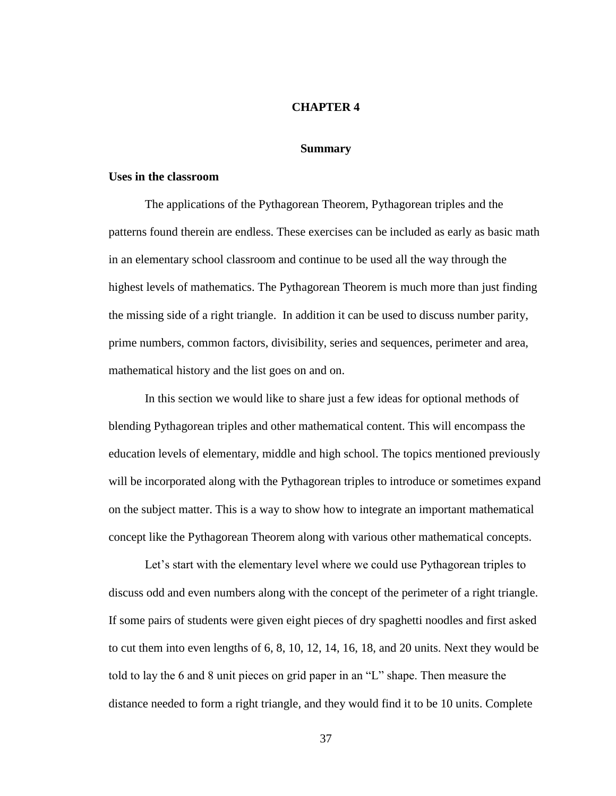#### **CHAPTER 4**

#### **Summary**

### **Uses in the classroom**

The applications of the Pythagorean Theorem, Pythagorean triples and the patterns found therein are endless. These exercises can be included as early as basic math in an elementary school classroom and continue to be used all the way through the highest levels of mathematics. The Pythagorean Theorem is much more than just finding the missing side of a right triangle. In addition it can be used to discuss number parity, prime numbers, common factors, divisibility, series and sequences, perimeter and area, mathematical history and the list goes on and on.

In this section we would like to share just a few ideas for optional methods of blending Pythagorean triples and other mathematical content. This will encompass the education levels of elementary, middle and high school. The topics mentioned previously will be incorporated along with the Pythagorean triples to introduce or sometimes expand on the subject matter. This is a way to show how to integrate an important mathematical concept like the Pythagorean Theorem along with various other mathematical concepts.

Let's start with the elementary level where we could use Pythagorean triples to discuss odd and even numbers along with the concept of the perimeter of a right triangle. If some pairs of students were given eight pieces of dry spaghetti noodles and first asked to cut them into even lengths of 6, 8, 10, 12, 14, 16, 18, and 20 units. Next they would be told to lay the 6 and 8 unit pieces on grid paper in an "L" shape. Then measure the distance needed to form a right triangle, and they would find it to be 10 units. Complete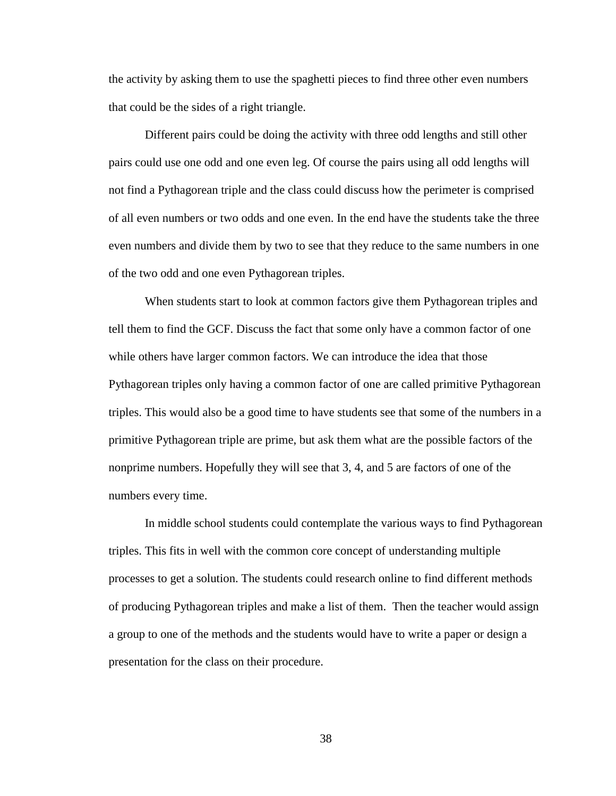the activity by asking them to use the spaghetti pieces to find three other even numbers that could be the sides of a right triangle.

Different pairs could be doing the activity with three odd lengths and still other pairs could use one odd and one even leg. Of course the pairs using all odd lengths will not find a Pythagorean triple and the class could discuss how the perimeter is comprised of all even numbers or two odds and one even. In the end have the students take the three even numbers and divide them by two to see that they reduce to the same numbers in one of the two odd and one even Pythagorean triples.

When students start to look at common factors give them Pythagorean triples and tell them to find the GCF. Discuss the fact that some only have a common factor of one while others have larger common factors. We can introduce the idea that those Pythagorean triples only having a common factor of one are called primitive Pythagorean triples. This would also be a good time to have students see that some of the numbers in a primitive Pythagorean triple are prime, but ask them what are the possible factors of the nonprime numbers. Hopefully they will see that 3, 4, and 5 are factors of one of the numbers every time.

In middle school students could contemplate the various ways to find Pythagorean triples. This fits in well with the common core concept of understanding multiple processes to get a solution. The students could research online to find different methods of producing Pythagorean triples and make a list of them. Then the teacher would assign a group to one of the methods and the students would have to write a paper or design a presentation for the class on their procedure.

38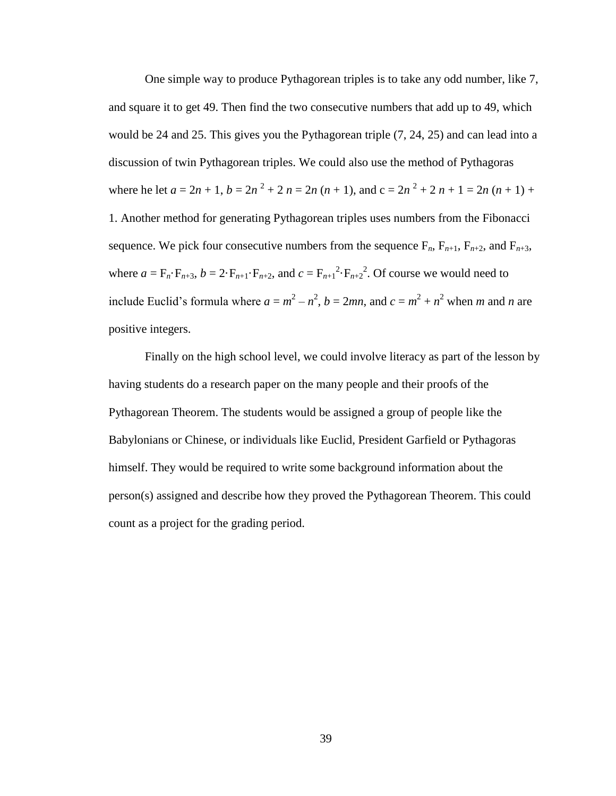One simple way to produce Pythagorean triples is to take any odd number, like 7, and square it to get 49. Then find the two consecutive numbers that add up to 49, which would be 24 and 25. This gives you the Pythagorean triple (7, 24, 25) and can lead into a discussion of twin Pythagorean triples. We could also use the method of Pythagoras where he let  $a = 2n + 1$ ,  $b = 2n^2 + 2n = 2n(n + 1)$ , and  $c = 2n^2 + 2n + 1 = 2n(n + 1) + 1$ 1. Another method for generating Pythagorean triples uses numbers from the Fibonacci sequence. We pick four consecutive numbers from the sequence  $F_n$ ,  $F_{n+1}$ ,  $F_{n+2}$ , and  $F_{n+3}$ , where  $a = F_n \cdot F_{n+3}$ ,  $b = 2 \cdot F_{n+1} \cdot F_{n+2}$ , and  $c = F_{n+1}^2 \cdot F_{n+2}^2$ . Of course we would need to include Euclid's formula where  $a = m^2 - n^2$ ,  $b = 2mn$ , and  $c = m^2 + n^2$  when *m* and *n* are positive integers.

Finally on the high school level, we could involve literacy as part of the lesson by having students do a research paper on the many people and their proofs of the Pythagorean Theorem. The students would be assigned a group of people like the Babylonians or Chinese, or individuals like Euclid, President Garfield or Pythagoras himself. They would be required to write some background information about the person(s) assigned and describe how they proved the Pythagorean Theorem. This could count as a project for the grading period.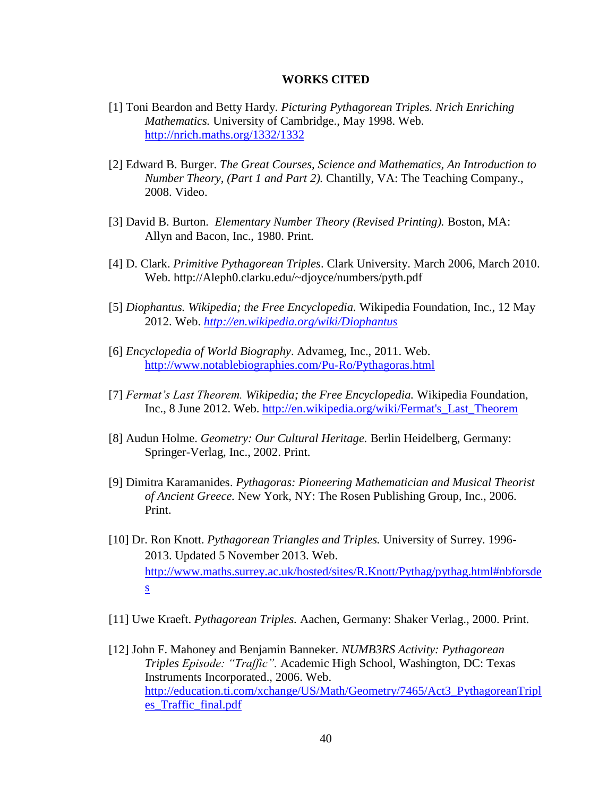#### **WORKS CITED**

- [1] Toni Beardon and Betty Hardy. *Picturing Pythagorean Triples. Nrich Enriching Mathematics.* University of Cambridge., May 1998. Web. <http://nrich.maths.org/1332/1332>
- [2] Edward B. Burger. *The Great Courses, Science and Mathematics, An Introduction to Number Theory, (Part 1 and Part 2).* Chantilly, VA: The Teaching Company., 2008. Video.
- [3] David B. Burton. *Elementary Number Theory (Revised Printing).* Boston, MA: Allyn and Bacon, Inc., 1980. Print.
- [4] D. Clark. *Primitive Pythagorean Triples*. Clark University. March 2006, March 2010. Web. http://Aleph0.clarku.edu/~djoyce/numbers/pyth.pdf
- [5] *Diophantus. Wikipedia; the Free Encyclopedia.* Wikipedia Foundation, Inc., 12 May 2012. Web. *<http://en.wikipedia.org/wiki/Diophantus>*
- [6] *Encyclopedia of World Biography*. Advameg, Inc., 2011. Web. <http://www.notablebiographies.com/Pu-Ro/Pythagoras.html>
- [7] *Fermat's Last Theorem. Wikipedia; the Free Encyclopedia.* Wikipedia Foundation, Inc., 8 June 2012. Web. [http://en.wikipedia.org/wiki/Fermat's\\_Last\\_Theorem](http://en.wikipedia.org/wiki/Fermat)
- [8] Audun Holme. *Geometry: Our Cultural Heritage.* Berlin Heidelberg, Germany: Springer-Verlag, Inc., 2002. Print.
- [9] Dimitra Karamanides. *Pythagoras: Pioneering Mathematician and Musical Theorist of Ancient Greece.* New York, NY: The Rosen Publishing Group, Inc., 2006. Print.
- [10] Dr. Ron Knott. *Pythagorean Triangles and Triples.* University of Surrey. 1996- 2013. Updated 5 November 2013. Web. [http://www.maths.surrey.ac.uk/hosted/sites/R.Knott/Pythag/pythag.html#nbforsde](http://www.maths.surrey.ac.uk/hosted/) s
- [11] Uwe Kraeft. *Pythagorean Triples.* Aachen, Germany: Shaker Verlag., 2000. Print.
- [12] John F. Mahoney and Benjamin Banneker. *NUMB3RS Activity: Pythagorean Triples Episode: "Traffic".* Academic High School, Washington, DC: Texas Instruments Incorporated., 2006. Web. [http://education.ti.com/xchange/US/Math/Geometry/7465/Act3\\_PythagoreanTripl](http://education.ti.com/xchange/US/Math/Geometry/7465/Act3_PythagoreanTriples_Traffic_final.pdf) [es\\_Traffic\\_final.pdf](http://education.ti.com/xchange/US/Math/Geometry/7465/Act3_PythagoreanTriples_Traffic_final.pdf)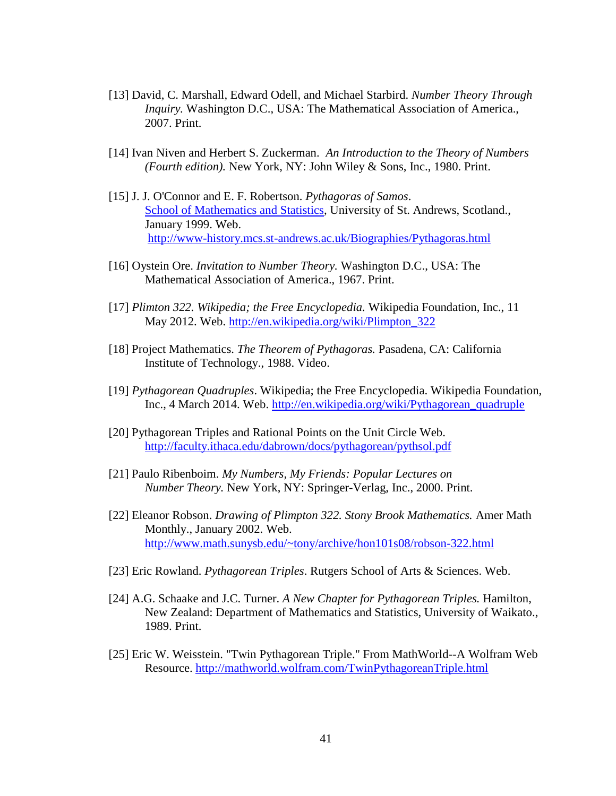- [13] David, C. Marshall, Edward Odell, and Michael Starbird. *Number Theory Through Inquiry.* Washington D.C., USA: The Mathematical Association of America., 2007. Print.
- [14] Ivan Niven and Herbert S. Zuckerman. *An Introduction to the Theory of Numbers (Fourth edition).* New York, NY: John Wiley & Sons, Inc., 1980. Print.
- [15] J. J. O'Connor and E. F. Robertson. *Pythagoras of Samos*. School [of Mathematics](http://www-maths.mcs.st-andrews.ac.uk/) and Statistics, University of St. Andrews, Scotland., January 1999. Web. <http://www-history.mcs.st-andrews.ac.uk/Biographies/Pythagoras.html>
- [16] Oystein Ore. *Invitation to Number Theory.* Washington D.C., USA: The Mathematical Association of America., 1967. Print.
- [17] *Plimton 322. Wikipedia; the Free Encyclopedia.* Wikipedia Foundation, Inc., 11 May 2012. Web. [http://en.wikipedia.org/wiki/Plimpton\\_322](http://en.wikipedia.org/wiki/Plimpton_322)
- [18] Project Mathematics. *The Theorem of Pythagoras.* Pasadena, CA: California Institute of Technology., 1988. Video.
- [19] *Pythagorean Quadruples*. Wikipedia; the Free Encyclopedia. Wikipedia Foundation, Inc., 4 March 2014. Web. [http://en.wikipedia.org/wiki/Pythagorean\\_quadruple](http://en.wikipedia.org/wiki/Pythagorean_quadruple)
- [20] Pythagorean Triples and Rational Points on the Unit Circle Web. <http://faculty.ithaca.edu/dabrown/docs/pythagorean/pythsol.pdf>
- [21] Paulo Ribenboim. *My Numbers, My Friends: Popular Lectures on Number Theory.* New York, NY: Springer-Verlag, Inc., 2000. Print.
- [22] Eleanor Robson. *Drawing of Plimpton 322. Stony Brook Mathematics.* Amer Math Monthly., January 2002. Web. <http://www.math.sunysb.edu/~tony/archive/hon101s08/robson-322.html>
- [23] Eric Rowland. *Pythagorean Triples*. Rutgers School of Arts & Sciences. Web.
- [24] A.G. Schaake and J.C. Turner. *A New Chapter for Pythagorean Triples.* Hamilton, New Zealand: Department of Mathematics and Statistics, University of Waikato., 1989. Print.
- [25] Eric W. Weisstein. "Twin Pythagorean Triple." From MathWorld--A Wolfram Web Resource.<http://mathworld.wolfram.com/TwinPythagoreanTriple.html>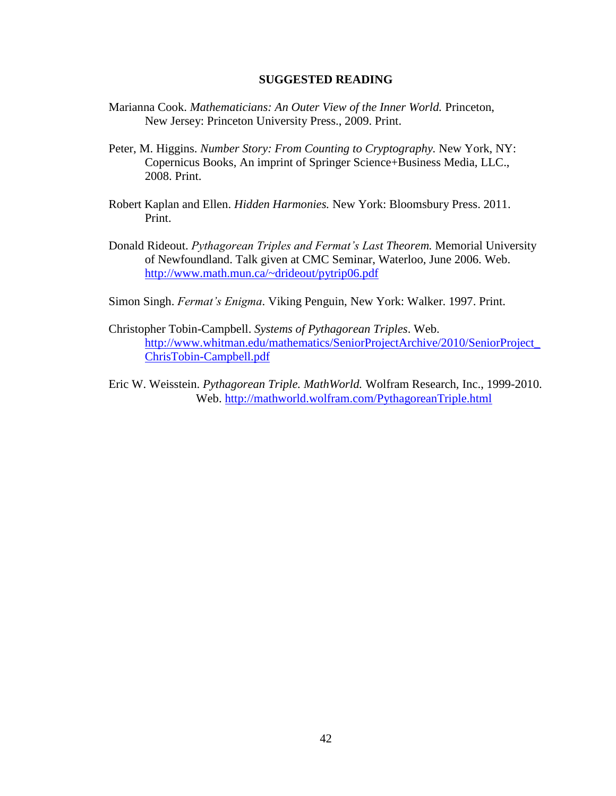#### **SUGGESTED READING**

- Marianna Cook. *Mathematicians: An Outer View of the Inner World.* Princeton, New Jersey: Princeton University Press., 2009. Print.
- Peter, M. Higgins. *Number Story: From Counting to Cryptography.* New York, NY: Copernicus Books, An imprint of Springer Science+Business Media, LLC., 2008. Print.
- Robert Kaplan and Ellen. *Hidden Harmonies.* New York: Bloomsbury Press. 2011. Print.
- Donald Rideout. *Pythagorean Triples and Fermat's Last Theorem.* Memorial University of Newfoundland. Talk given at CMC Seminar, Waterloo, June 2006. Web. <http://www.math.mun.ca/~drideout/pytrip06.pdf>
- Simon Singh. *Fermat's Enigma*. Viking Penguin, New York: Walker. 1997. Print.
- Christopher Tobin-Campbell. *Systems of Pythagorean Triples*. Web. [http://www.whitman.edu/mathematics/SeniorProjectArchive/2010/SeniorProject\\_](http://www.whitman.edu/mathematics/SeniorProjectArchive/2010/SeniorProject_ChrisTobin-Campbell.pdf) [ChrisTobin-Campbell.pdf](http://www.whitman.edu/mathematics/SeniorProjectArchive/2010/SeniorProject_ChrisTobin-Campbell.pdf)
- Eric W. Weisstein. *Pythagorean Triple. MathWorld.* Wolfram Research, Inc., 1999-2010. Web.<http://mathworld.wolfram.com/PythagoreanTriple.html>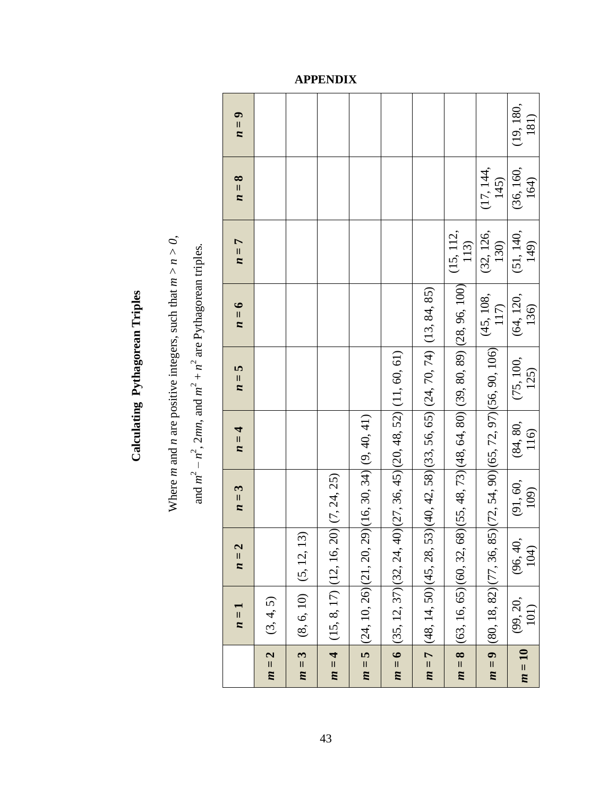|        | $n=1$                                                                | $n=2$                   | $n=3$                      | $n=4$            | $n=5$                                                                  | $n=6$                                                   | $n=7$             | $n=8$             | $n=9$             |
|--------|----------------------------------------------------------------------|-------------------------|----------------------------|------------------|------------------------------------------------------------------------|---------------------------------------------------------|-------------------|-------------------|-------------------|
| $m=2$  | (3, 4, 5)                                                            |                         |                            |                  |                                                                        |                                                         |                   |                   |                   |
| $m=3$  | $(8, 6, 10)$ $(5, 12, 1)$                                            | $\widehat{\mathcal{E}}$ |                            |                  |                                                                        |                                                         |                   |                   |                   |
| $m=4$  | $(15, 8, 17)$ $(12, 16,$                                             |                         | 20) (7, 24, 25)            |                  |                                                                        |                                                         |                   |                   |                   |
| $m=5$  | $(24, 10, 26)$ $(21, 20,$                                            |                         | 29)(16, 30, 34)(9, 40, 41) |                  |                                                                        |                                                         |                   |                   |                   |
|        | $m = 6$ (35, 12, 37)(32, 24, 40)(27, 36, 45)(20, 48, 52)(11, 60, 61) |                         |                            |                  |                                                                        |                                                         |                   |                   |                   |
|        | $m = 7$ (48, 14, 50) (45, 28,                                        |                         |                            |                  | $(53)(40, 42, 58)(33, 56, 65)(24, 70, 74)(13, 84, 85)$                 |                                                         |                   |                   |                   |
|        | $m = 8$ (63, 16, 65) (60, 32,                                        |                         |                            |                  |                                                                        | $(68)(55, 48, 73)(48, 64, 80)(39, 80, 89)(28, 96, 100)$ | (15, 112,<br>113) |                   |                   |
|        | $m = 9$ (80, 18, 82) (77, 36,                                        |                         |                            |                  | 85) $(72, 54, 90)$ $(65, 72, 97)$ $(56, 90, 106)$ $(45, 108, 90, 106)$ |                                                         | (32, 126,<br>130) | (17, 144,<br>145) |                   |
| $m=10$ | (99, 20,<br>101)                                                     | (96, 40,<br>104)        | (91, 60,<br>109)           | (84, 80,<br>116) | (75, 100,<br>125)                                                      | (64, 120,<br>136)                                       | (51, 140,<br>149) | (36, 160,<br>164) | (19, 180,<br>181) |

**Calculating Pythagorean Triples**

Calculating Pythagorean Triples

Where *m* and *n* are positive integers, such that  $m > n > 0$ , Where *m* and *n* are positive integers, such that *m* > *n > 0*,

and  $m^2 - n^2$ , 2mn, and  $m^2 + n^2$  are Pythagorean triples. and  $m^2 - n^2$ , 2*mn*, and  $m^2 + n^2$  are Pythagorean triples.

## **APPENDIX**